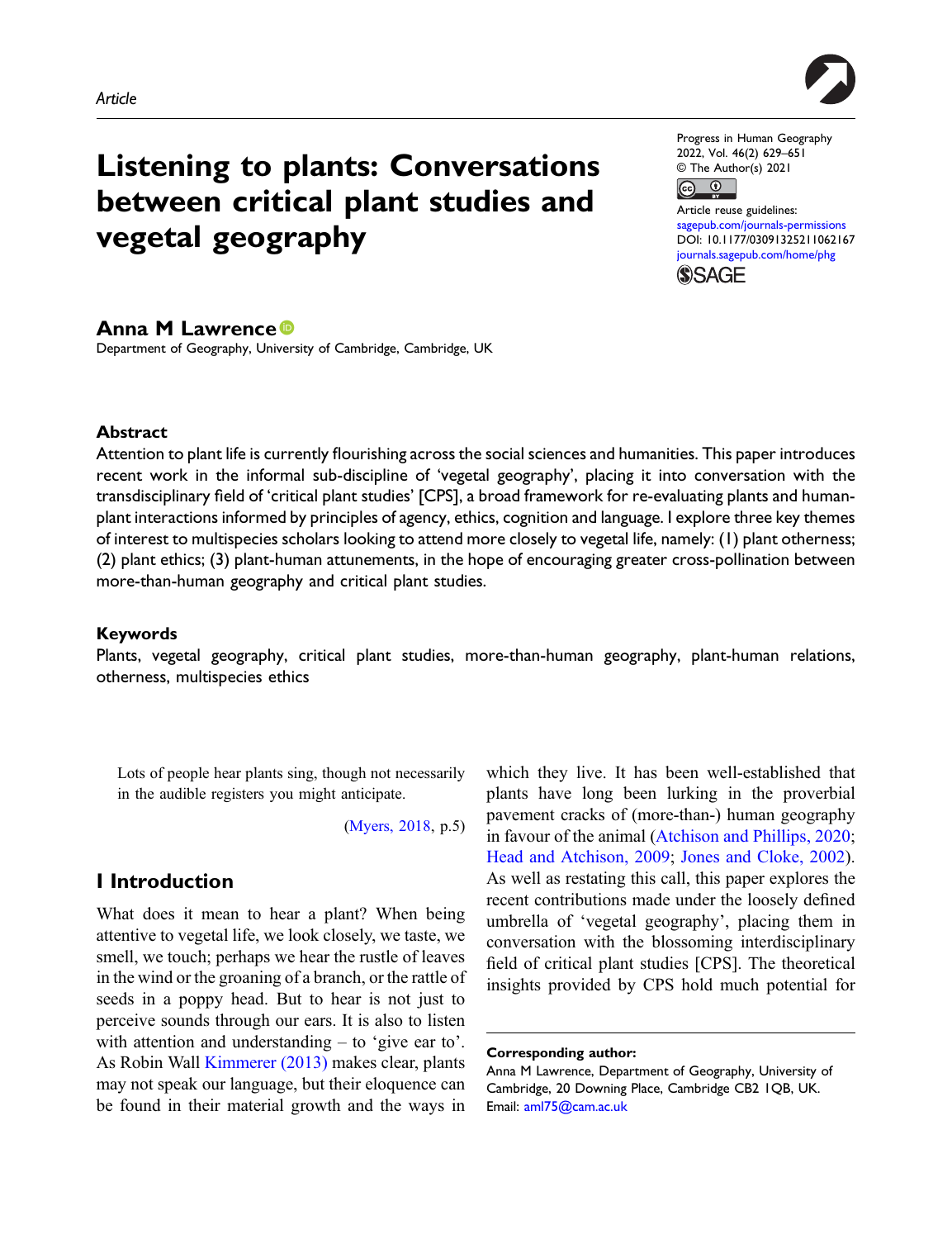

# Listening to plants: Conversations between critical plant studies and vegetal geography

Progress in Human Geography 2022, Vol. 46(2) 629–651 © The Author(s) 2021

 $\boxed{6}$   $\boxed{0}$ 

Article reuse guidelines: [sagepub.com/journals-permissions](https://uk.sagepub.com/en-gb/journals-permissions) DOI: [10.1177/03091325211062167](https://doi.org/10.1177/03091325211062167) [journals.sagepub.com/home/phg](https://journals.sagepub.com/home/phg) **SSAGE** 

## Anna M Lawrence

Department of Geography, University of Cambridge, Cambridge, UK

## Abstract

Attention to plant life is currently flourishing across the social sciences and humanities. This paper introduces recent work in the informal sub-discipline of 'vegetal geography', placing it into conversation with the transdisciplinary field of 'critical plant studies' [CPS], a broad framework for re-evaluating plants and humanplant interactions informed by principles of agency, ethics, cognition and language. I explore three key themes of interest to multispecies scholars looking to attend more closely to vegetal life, namely: (1) plant otherness; (2) plant ethics; (3) plant-human attunements, in the hope of encouraging greater cross-pollination between more-than-human geography and critical plant studies.

### Keywords

Plants, vegetal geography, critical plant studies, more-than-human geography, plant-human relations, otherness, multispecies ethics

Lots of people hear plants sing, though not necessarily in the audible registers you might anticipate.

([Myers, 2018,](#page-19-0) p.5)

# I Introduction

What does it mean to hear a plant? When being attentive to vegetal life, we look closely, we taste, we smell, we touch; perhaps we hear the rustle of leaves in the wind or the groaning of a branch, or the rattle of seeds in a poppy head. But to hear is not just to perceive sounds through our ears. It is also to listen with attention and understanding – to 'give ear to'. As Robin Wall [Kimmerer \(2013\)](#page-18-0) makes clear, plants may not speak our language, but their eloquence can be found in their material growth and the ways in which they live. It has been well-established that plants have long been lurking in the proverbial pavement cracks of (more-than-) human geography in favour of the animal [\(Atchison and Phillips, 2020;](#page-14-0) [Head and Atchison, 2009](#page-17-0); [Jones and Cloke, 2002\)](#page-17-1). As well as restating this call, this paper explores the recent contributions made under the loosely defined umbrella of 'vegetal geography', placing them in conversation with the blossoming interdisciplinary field of critical plant studies [CPS]. The theoretical insights provided by CPS hold much potential for

Corresponding author:

Anna M Lawrence, Department of Geography, University of Cambridge, 20 Downing Place, Cambridge CB2 1QB, UK. Email: [aml75@cam.ac.uk](mailto:aml75@cam.ac.uk)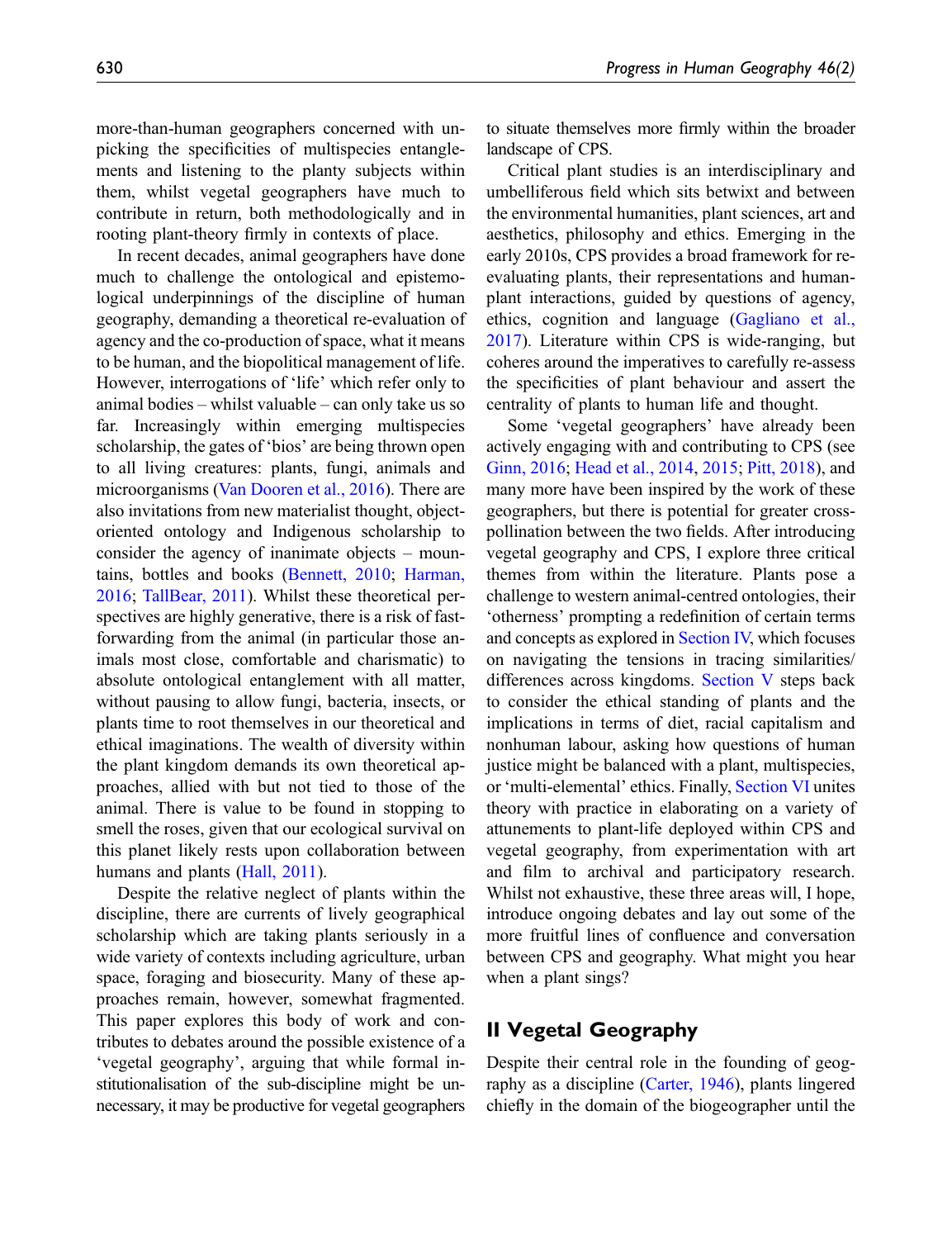more-than-human geographers concerned with unpicking the specificities of multispecies entanglements and listening to the planty subjects within them, whilst vegetal geographers have much to contribute in return, both methodologically and in rooting plant-theory firmly in contexts of place.

In recent decades, animal geographers have done much to challenge the ontological and epistemological underpinnings of the discipline of human geography, demanding a theoretical re-evaluation of agency and the co-production of space, what it means to be human, and the biopolitical management of life. However, interrogations of 'life' which refer only to animal bodies – whilst valuable – can only take us so far. Increasingly within emerging multispecies scholarship, the gates of 'bios' are being thrown open to all living creatures: plants, fungi, animals and microorganisms [\(Van Dooren et al., 2016\)](#page-21-0). There are also invitations from new materialist thought, objectoriented ontology and Indigenous scholarship to consider the agency of inanimate objects – mountains, bottles and books [\(Bennett, 2010](#page-15-0); [Harman,](#page-17-2) [2016](#page-17-2); [TallBear, 2011](#page-21-1)). Whilst these theoretical perspectives are highly generative, there is a risk of fastforwarding from the animal (in particular those animals most close, comfortable and charismatic) to absolute ontological entanglement with all matter, without pausing to allow fungi, bacteria, insects, or plants time to root themselves in our theoretical and ethical imaginations. The wealth of diversity within the plant kingdom demands its own theoretical approaches, allied with but not tied to those of the animal. There is value to be found in stopping to smell the roses, given that our ecological survival on this planet likely rests upon collaboration between humans and plants [\(Hall, 2011\)](#page-17-3).

Despite the relative neglect of plants within the discipline, there are currents of lively geographical scholarship which are taking plants seriously in a wide variety of contexts including agriculture, urban space, foraging and biosecurity. Many of these approaches remain, however, somewhat fragmented. This paper explores this body of work and contributes to debates around the possible existence of a 'vegetal geography', arguing that while formal institutionalisation of the sub-discipline might be unnecessary, it may be productive for vegetal geographers to situate themselves more firmly within the broader landscape of CPS.

Critical plant studies is an interdisciplinary and umbelliferous field which sits betwixt and between the environmental humanities, plant sciences, art and aesthetics, philosophy and ethics. Emerging in the early 2010s, CPS provides a broad framework for reevaluating plants, their representations and humanplant interactions, guided by questions of agency, ethics, cognition and language [\(Gagliano et al.,](#page-16-0) [2017\)](#page-16-0). Literature within CPS is wide-ranging, but coheres around the imperatives to carefully re-assess the specificities of plant behaviour and assert the centrality of plants to human life and thought.

Some 'vegetal geographers' have already been actively engaging with and contributing to CPS (see [Ginn, 2016;](#page-16-1) [Head et al., 2014,](#page-17-4) [2015;](#page-17-5) [Pitt, 2018](#page-20-0)), and many more have been inspired by the work of these geographers, but there is potential for greater crosspollination between the two fields. After introducing vegetal geography and CPS, I explore three critical themes from within the literature. Plants pose a challenge to western animal-centred ontologies, their 'otherness' prompting a redefinition of certain terms and concepts as explored in [Section IV,](#page-5-0) which focuses on navigating the tensions in tracing similarities/ differences across kingdoms. [Section V](#page-8-0) steps back to consider the ethical standing of plants and the implications in terms of diet, racial capitalism and nonhuman labour, asking how questions of human justice might be balanced with a plant, multispecies, or 'multi-elemental' ethics. Finally, [Section VI](#page-11-0) unites theory with practice in elaborating on a variety of attunements to plant-life deployed within CPS and vegetal geography, from experimentation with art and film to archival and participatory research. Whilst not exhaustive, these three areas will, I hope, introduce ongoing debates and lay out some of the more fruitful lines of confluence and conversation between CPS and geography. What might you hear when a plant sings?

## II Vegetal Geography

Despite their central role in the founding of geography as a discipline ([Carter, 1946](#page-15-1)), plants lingered chiefly in the domain of the biogeographer until the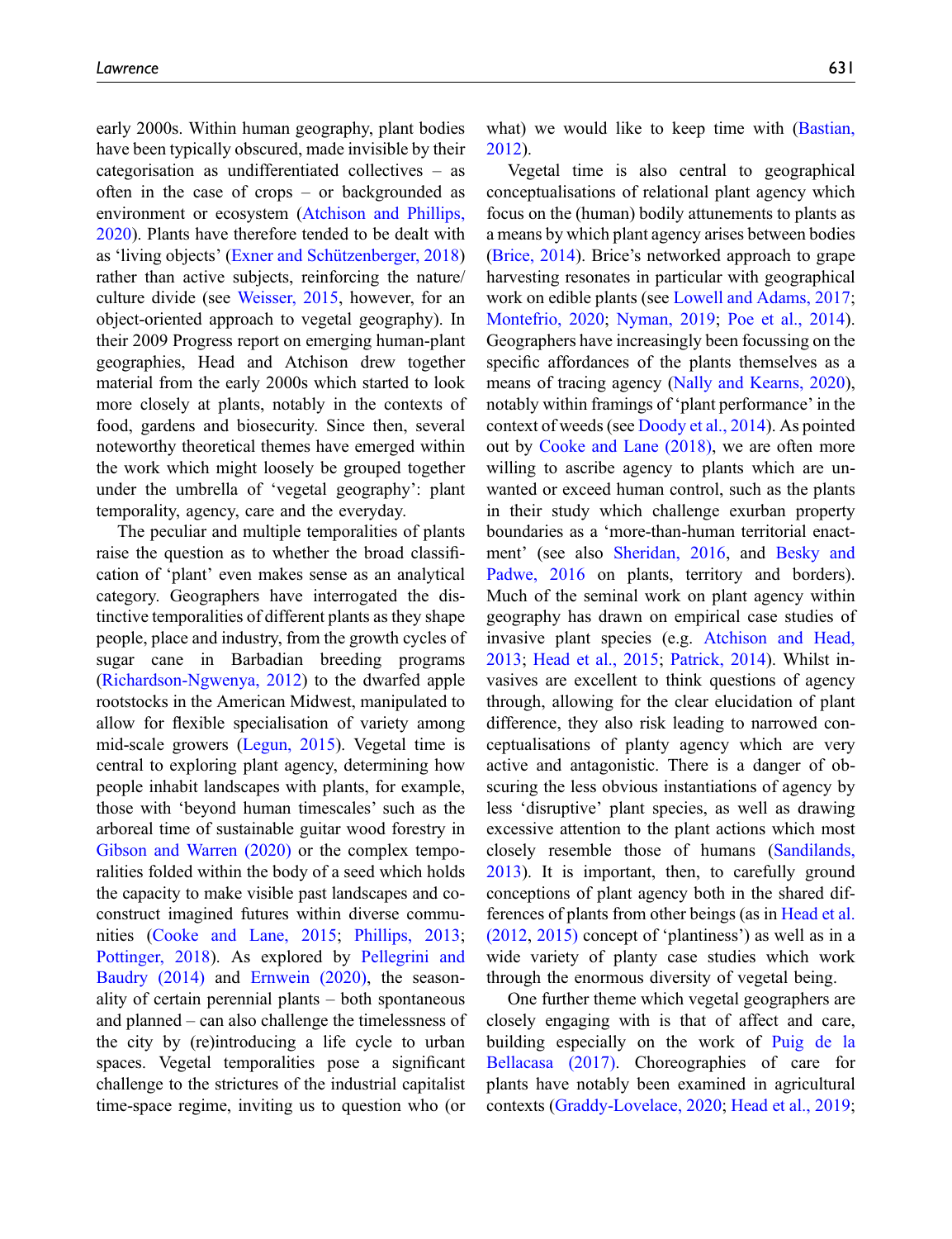early 2000s. Within human geography, plant bodies have been typically obscured, made invisible by their categorisation as undifferentiated collectives – as often in the case of crops – or backgrounded as environment or ecosystem [\(Atchison and Phillips,](#page-14-0) [2020](#page-14-0)). Plants have therefore tended to be dealt with as 'living objects' [\(Exner and Schützenberger, 2018\)](#page-16-2) rather than active subjects, reinforcing the nature/ culture divide (see [Weisser, 2015,](#page-21-2) however, for an object-oriented approach to vegetal geography). In their 2009 Progress report on emerging human-plant geographies, Head and Atchison drew together material from the early 2000s which started to look more closely at plants, notably in the contexts of food, gardens and biosecurity. Since then, several noteworthy theoretical themes have emerged within the work which might loosely be grouped together under the umbrella of 'vegetal geography': plant temporality, agency, care and the everyday.

The peculiar and multiple temporalities of plants raise the question as to whether the broad classification of 'plant' even makes sense as an analytical category. Geographers have interrogated the distinctive temporalities of different plants as they shape people, place and industry, from the growth cycles of sugar cane in Barbadian breeding programs [\(Richardson-Ngwenya, 2012](#page-20-1)) to the dwarfed apple rootstocks in the American Midwest, manipulated to allow for flexible specialisation of variety among mid-scale growers ([Legun, 2015\)](#page-18-1). Vegetal time is central to exploring plant agency, determining how people inhabit landscapes with plants, for example, those with 'beyond human timescales' such as the arboreal time of sustainable guitar wood forestry in [Gibson and Warren \(2020\)](#page-16-3) or the complex temporalities folded within the body of a seed which holds the capacity to make visible past landscapes and coconstruct imagined futures within diverse communities ([Cooke and Lane, 2015;](#page-15-2) [Phillips, 2013](#page-19-1); [Pottinger, 2018](#page-20-2)). As explored by [Pellegrini and](#page-19-2) [Baudry \(2014\)](#page-19-2) and [Ernwein \(2020\)](#page-16-4), the seasonality of certain perennial plants – both spontaneous and planned – can also challenge the timelessness of the city by (re)introducing a life cycle to urban spaces. Vegetal temporalities pose a significant challenge to the strictures of the industrial capitalist time-space regime, inviting us to question who (or

what) we would like to keep time with [\(Bastian,](#page-15-3) [2012\)](#page-15-3).

Vegetal time is also central to geographical conceptualisations of relational plant agency which focus on the (human) bodily attunements to plants as a means by which plant agency arises between bodies [\(Brice, 2014](#page-15-4)). Brice's networked approach to grape harvesting resonates in particular with geographical work on edible plants (see [Lowell and Adams, 2017;](#page-18-2) [Montefrio, 2020](#page-19-3); [Nyman, 2019;](#page-19-4) [Poe et al., 2014\)](#page-20-3). Geographers have increasingly been focussing on the specific affordances of the plants themselves as a means of tracing agency [\(Nally and Kearns, 2020\)](#page-19-5), notably within framings of 'plant performance' in the context of weeds (see [Doody et al., 2014](#page-16-5)). As pointed out by [Cooke and Lane \(2018\),](#page-15-5) we are often more willing to ascribe agency to plants which are unwanted or exceed human control, such as the plants in their study which challenge exurban property boundaries as a 'more-than-human territorial enactment' (see also [Sheridan, 2016,](#page-21-3) and [Besky and](#page-15-6) [Padwe, 2016](#page-15-6) on plants, territory and borders). Much of the seminal work on plant agency within geography has drawn on empirical case studies of invasive plant species (e.g. [Atchison and Head,](#page-14-1) [2013;](#page-14-1) [Head et al., 2015](#page-17-5); [Patrick, 2014](#page-19-6)). Whilst invasives are excellent to think questions of agency through, allowing for the clear elucidation of plant difference, they also risk leading to narrowed conceptualisations of planty agency which are very active and antagonistic. There is a danger of obscuring the less obvious instantiations of agency by less 'disruptive' plant species, as well as drawing excessive attention to the plant actions which most closely resemble those of humans ([Sandilands,](#page-20-4) [2013\)](#page-20-4). It is important, then, to carefully ground conceptions of plant agency both in the shared differences of plants from other beings (as in [Head et al.](#page-17-6) [\(2012](#page-17-6), [2015\)](#page-17-5) concept of 'plantiness') as well as in a wide variety of planty case studies which work through the enormous diversity of vegetal being.

One further theme which vegetal geographers are closely engaging with is that of affect and care, building especially on the work of [Puig de la](#page-20-5) [Bellacasa \(2017\).](#page-20-5) Choreographies of care for plants have notably been examined in agricultural contexts [\(Graddy-Lovelace, 2020](#page-16-6); [Head et al., 2019;](#page-17-7)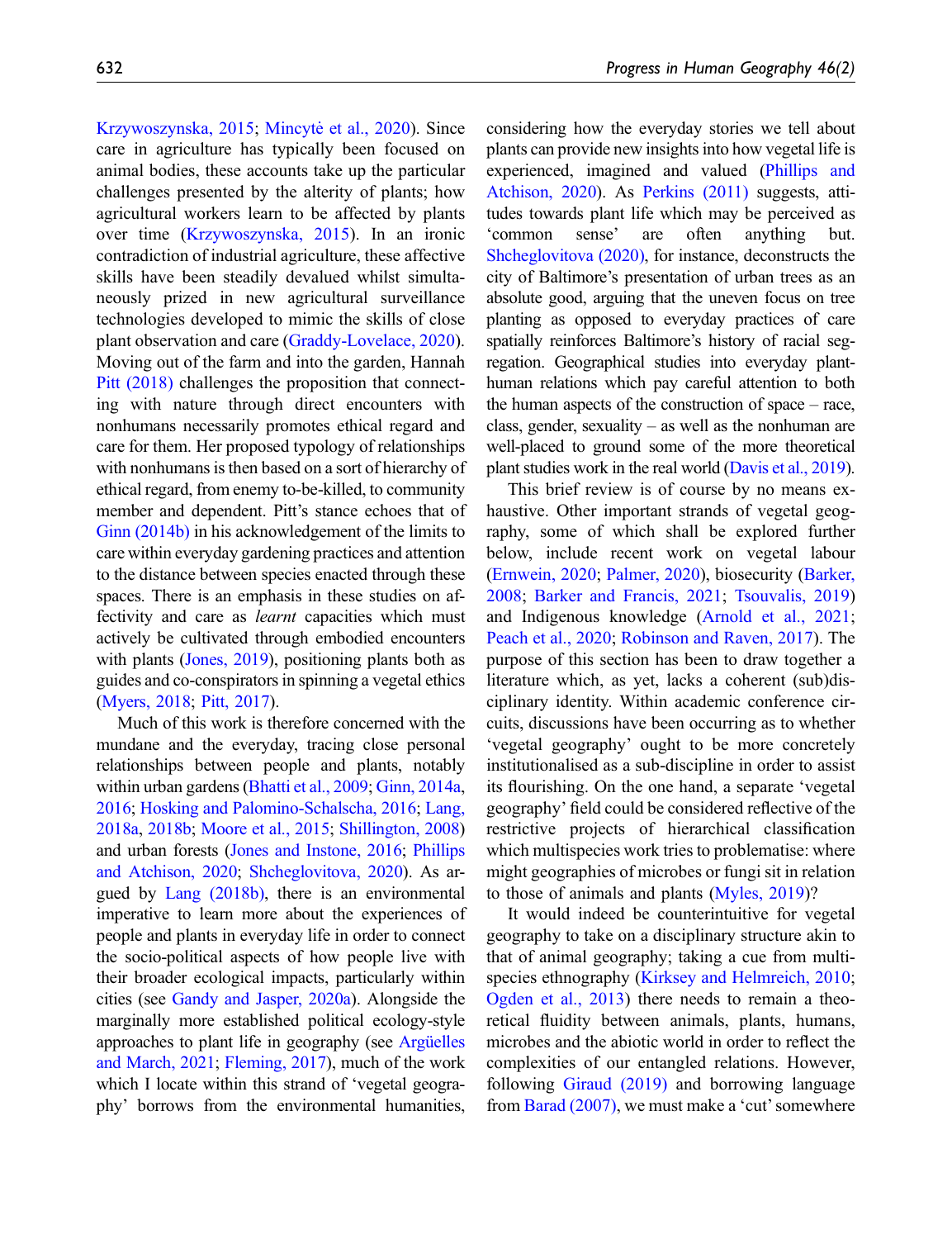[Krzywoszynska, 2015](#page-18-3); [Mincyte et al., 2020](#page-19-7)). Since care in agriculture has typically been focused on animal bodies, these accounts take up the particular challenges presented by the alterity of plants; how agricultural workers learn to be affected by plants over time ([Krzywoszynska, 2015\)](#page-18-3). In an ironic contradiction of industrial agriculture, these affective skills have been steadily devalued whilst simultaneously prized in new agricultural surveillance technologies developed to mimic the skills of close plant observation and care [\(Graddy-Lovelace, 2020](#page-16-6)). Moving out of the farm and into the garden, Hannah [Pitt \(2018\)](#page-20-0) challenges the proposition that connecting with nature through direct encounters with nonhumans necessarily promotes ethical regard and care for them. Her proposed typology of relationships with nonhumans is then based on a sort of hierarchy of ethical regard, from enemy to-be-killed, to community member and dependent. Pitt's stance echoes that of [Ginn \(2014b\)](#page-16-7) in his acknowledgement of the limits to care within everyday gardening practices and attention to the distance between species enacted through these spaces. There is an emphasis in these studies on affectivity and care as learnt capacities which must actively be cultivated through embodied encounters with plants [\(Jones, 2019](#page-17-8)), positioning plants both as guides and co-conspirators in spinning a vegetal ethics [\(Myers, 2018](#page-19-0); [Pitt, 2017\)](#page-19-8).

Much of this work is therefore concerned with the mundane and the everyday, tracing close personal relationships between people and plants, notably within urban gardens ([Bhatti et al., 2009](#page-15-7); [Ginn, 2014a](#page-16-8), [2016;](#page-16-1) [Hosking and Palomino-Schalscha, 2016](#page-17-9); [Lang,](#page-18-4) [2018a](#page-18-4), [2018b;](#page-18-5) [Moore et al., 2015;](#page-19-9) [Shillington, 2008\)](#page-21-4) and urban forests ([Jones and Instone, 2016](#page-17-10); [Phillips](#page-19-10) [and Atchison, 2020;](#page-19-10) [Shcheglovitova, 2020\)](#page-21-5). As argued by [Lang \(2018b\),](#page-18-5) there is an environmental imperative to learn more about the experiences of people and plants in everyday life in order to connect the socio-political aspects of how people live with their broader ecological impacts, particularly within cities (see [Gandy and Jasper, 2020a\)](#page-16-9). Alongside the marginally more established political ecology-style approaches to plant life in geography (see [Argüelles](#page-14-2) [and March, 2021](#page-14-2); [Fleming, 2017\)](#page-16-10), much of the work which I locate within this strand of 'vegetal geography' borrows from the environmental humanities,

considering how the everyday stories we tell about plants can provide new insights into how vegetal life is experienced, imagined and valued ([Phillips and](#page-19-10) [Atchison, 2020\)](#page-19-10). As [Perkins \(2011\)](#page-19-11) suggests, attitudes towards plant life which may be perceived as 'common sense' are often anything but. [Shcheglovitova \(2020\),](#page-21-5) for instance, deconstructs the city of Baltimore's presentation of urban trees as an absolute good, arguing that the uneven focus on tree planting as opposed to everyday practices of care spatially reinforces Baltimore's history of racial segregation. Geographical studies into everyday planthuman relations which pay careful attention to both the human aspects of the construction of space – race, class, gender, sexuality – as well as the nonhuman are well-placed to ground some of the more theoretical plant studies work in the real world ([Davis et al., 2019](#page-15-8)).

This brief review is of course by no means exhaustive. Other important strands of vegetal geography, some of which shall be explored further below, include recent work on vegetal labour [\(Ernwein, 2020;](#page-16-4) [Palmer, 2020](#page-19-12)), biosecurity ([Barker,](#page-15-9) [2008;](#page-15-9) [Barker and Francis, 2021;](#page-15-10) [Tsouvalis, 2019](#page-21-6)) and Indigenous knowledge [\(Arnold et al., 2021;](#page-14-3) [Peach et al., 2020](#page-19-13); [Robinson and Raven, 2017\)](#page-20-6). The purpose of this section has been to draw together a literature which, as yet, lacks a coherent (sub)disciplinary identity. Within academic conference circuits, discussions have been occurring as to whether 'vegetal geography' ought to be more concretely institutionalised as a sub-discipline in order to assist its flourishing. On the one hand, a separate 'vegetal geography' field could be considered reflective of the restrictive projects of hierarchical classification which multispecies work tries to problematise: where might geographies of microbes or fungi sit in relation to those of animals and plants [\(Myles, 2019\)](#page-19-14)?

It would indeed be counterintuitive for vegetal geography to take on a disciplinary structure akin to that of animal geography; taking a cue from multispecies ethnography ([Kirksey and Helmreich, 2010;](#page-18-6) [Ogden et al., 2013\)](#page-19-15) there needs to remain a theoretical fluidity between animals, plants, humans, microbes and the abiotic world in order to reflect the complexities of our entangled relations. However, following [Giraud \(2019\)](#page-16-11) and borrowing language from [Barad \(2007\)](#page-14-4), we must make a 'cut'somewhere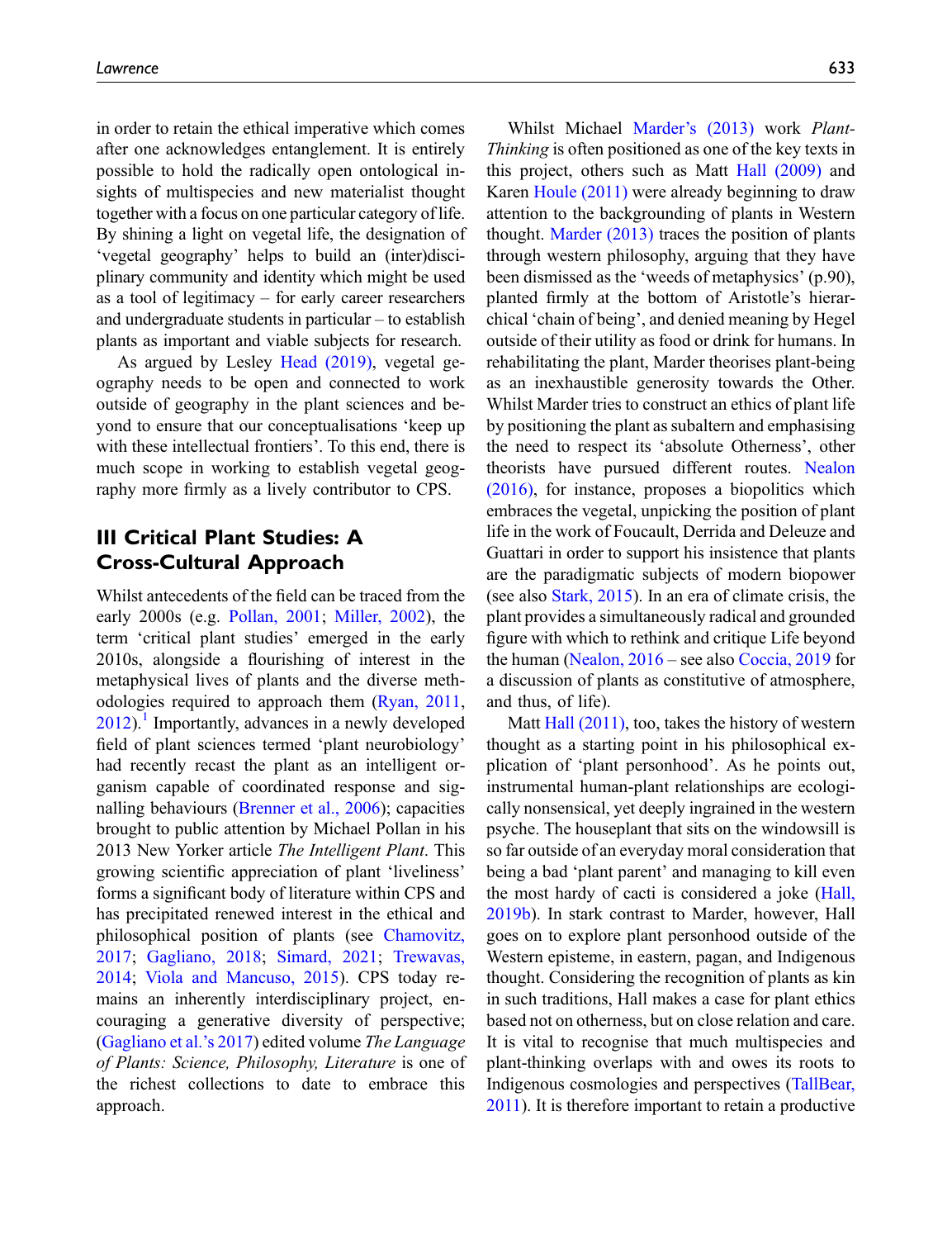in order to retain the ethical imperative which comes after one acknowledges entanglement. It is entirely possible to hold the radically open ontological insights of multispecies and new materialist thought together with a focus on one particular category of life. By shining a light on vegetal life, the designation of 'vegetal geography' helps to build an (inter)disciplinary community and identity which might be used as a tool of legitimacy – for early career researchers and undergraduate students in particular – to establish plants as important and viable subjects for research.

As argued by Lesley [Head \(2019\),](#page-17-11) vegetal geography needs to be open and connected to work outside of geography in the plant sciences and beyond to ensure that our conceptualisations 'keep up with these intellectual frontiers'. To this end, there is much scope in working to establish vegetal geography more firmly as a lively contributor to CPS.

# III Critical Plant Studies: A Cross-Cultural Approach

Whilst antecedents of the field can be traced from the early 2000s (e.g. [Pollan, 2001](#page-20-7); [Miller, 2002\)](#page-18-7), the term 'critical plant studies' emerged in the early 2010s, alongside a flourishing of interest in the metaphysical lives of plants and the diverse methodologies required to approach them ([Ryan, 2011](#page-20-8),  $2012$ ).<sup>[1](#page-14-5)</sup> Importantly, advances in a newly developed field of plant sciences termed 'plant neurobiology' had recently recast the plant as an intelligent organism capable of coordinated response and signalling behaviours [\(Brenner et al., 2006](#page-15-11)); capacities brought to public attention by Michael Pollan in his 2013 New Yorker article The Intelligent Plant. This growing scientific appreciation of plant 'liveliness' forms a significant body of literature within CPS and has precipitated renewed interest in the ethical and philosophical position of plants (see [Chamovitz,](#page-15-12) [2017](#page-15-12); [Gagliano, 2018](#page-16-12); [Simard, 2021;](#page-21-7) [Trewavas,](#page-21-8) [2014](#page-21-8); [Viola and Mancuso, 2015](#page-21-9)). CPS today remains an inherently interdisciplinary project, encouraging a generative diversity of perspective; [\(Gagliano et al.](#page-16-0)'s 2017) edited volume The Language of Plants: Science, Philosophy, Literature is one of the richest collections to date to embrace this approach.

Whilst Michael Marder'[s \(2013\)](#page-18-8) work Plant-Thinking is often positioned as one of the key texts in this project, others such as Matt [Hall \(2009\)](#page-17-12) and Karen [Houle \(2011\)](#page-17-13) were already beginning to draw attention to the backgrounding of plants in Western thought. [Marder \(2013\)](#page-18-8) traces the position of plants through western philosophy, arguing that they have been dismissed as the 'weeds of metaphysics' (p.90), planted firmly at the bottom of Aristotle's hierarchical 'chain of being', and denied meaning by Hegel outside of their utility as food or drink for humans. In rehabilitating the plant, Marder theorises plant-being as an inexhaustible generosity towards the Other. Whilst Marder tries to construct an ethics of plant life by positioning the plant as subaltern and emphasising the need to respect its 'absolute Otherness', other theorists have pursued different routes. [Nealon](#page-19-16) [\(2016\)](#page-19-16), for instance, proposes a biopolitics which embraces the vegetal, unpicking the position of plant life in the work of Foucault, Derrida and Deleuze and Guattari in order to support his insistence that plants are the paradigmatic subjects of modern biopower (see also [Stark, 2015](#page-21-10)). In an era of climate crisis, the plant provides a simultaneously radical and grounded figure with which to rethink and critique Life beyond the human [\(Nealon, 2016](#page-19-16) – see also [Coccia, 2019](#page-15-13) for a discussion of plants as constitutive of atmosphere, and thus, of life).

Matt [Hall \(2011\),](#page-17-3) too, takes the history of western thought as a starting point in his philosophical explication of 'plant personhood'. As he points out, instrumental human-plant relationships are ecologically nonsensical, yet deeply ingrained in the western psyche. The houseplant that sits on the windowsill is so far outside of an everyday moral consideration that being a bad 'plant parent' and managing to kill even the most hardy of cacti is considered a joke [\(Hall,](#page-17-14) [2019b\)](#page-17-14). In stark contrast to Marder, however, Hall goes on to explore plant personhood outside of the Western episteme, in eastern, pagan, and Indigenous thought. Considering the recognition of plants as kin in such traditions, Hall makes a case for plant ethics based not on otherness, but on close relation and care. It is vital to recognise that much multispecies and plant-thinking overlaps with and owes its roots to Indigenous cosmologies and perspectives ([TallBear,](#page-21-1) [2011](#page-21-1)). It is therefore important to retain a productive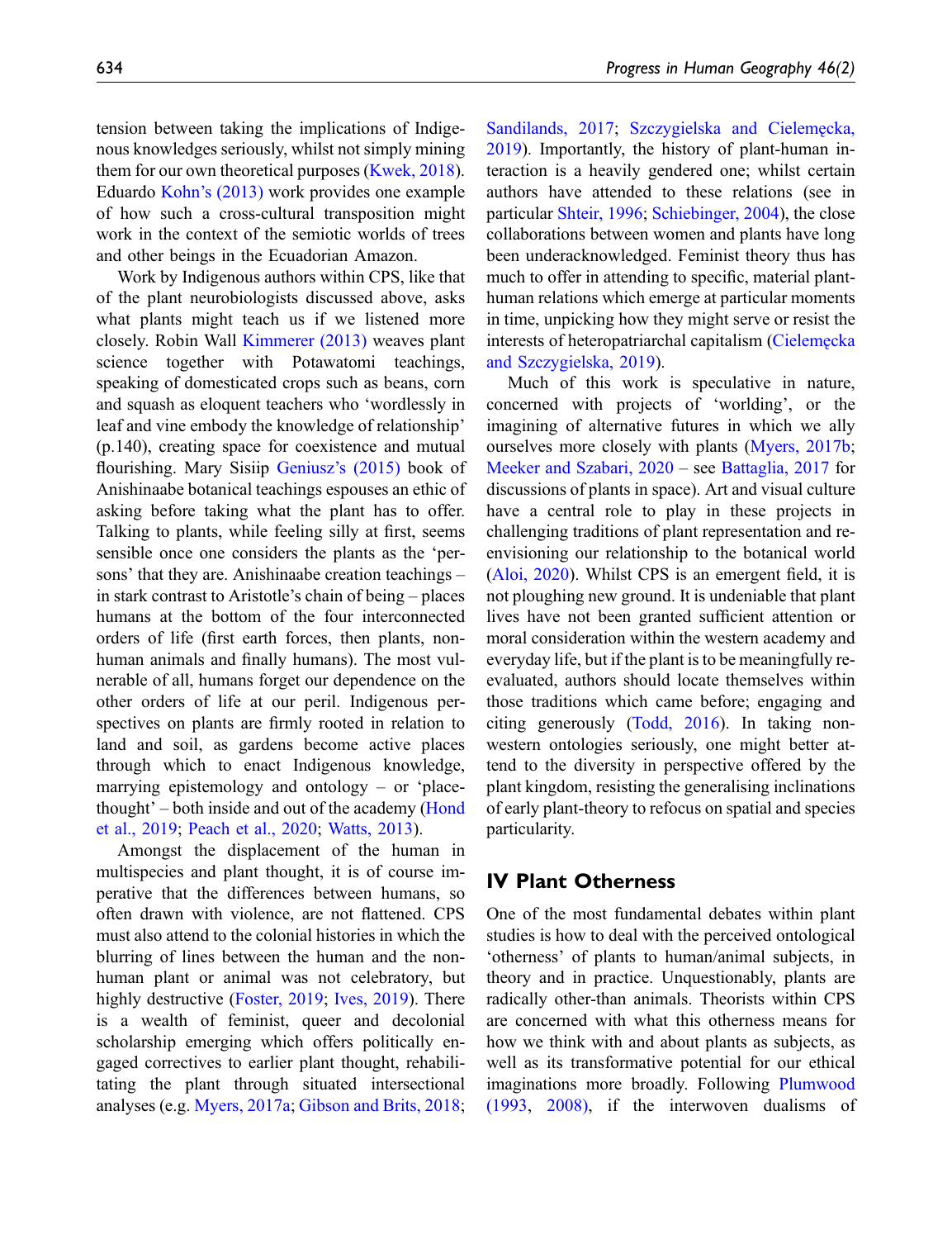tension between taking the implications of Indigenous knowledges seriously, whilst not simply mining them for our own theoretical purposes ([Kwek, 2018](#page-18-9)). Eduardo Kohn'[s \(2013\)](#page-18-10) work provides one example of how such a cross-cultural transposition might work in the context of the semiotic worlds of trees and other beings in the Ecuadorian Amazon.

Work by Indigenous authors within CPS, like that of the plant neurobiologists discussed above, asks what plants might teach us if we listened more closely. Robin Wall [Kimmerer \(2013\)](#page-18-0) weaves plant science together with Potawatomi teachings, speaking of domesticated crops such as beans, corn and squash as eloquent teachers who 'wordlessly in leaf and vine embody the knowledge of relationship' (p.140), creating space for coexistence and mutual flourishing. Mary Sisiip Geniusz'[s \(2015\)](#page-16-13) book of Anishinaabe botanical teachings espouses an ethic of asking before taking what the plant has to offer. Talking to plants, while feeling silly at first, seems sensible once one considers the plants as the 'persons' that they are. Anishinaabe creation teachings – in stark contrast to Aristotle's chain of being – places humans at the bottom of the four interconnected orders of life (first earth forces, then plants, nonhuman animals and finally humans). The most vulnerable of all, humans forget our dependence on the other orders of life at our peril. Indigenous perspectives on plants are firmly rooted in relation to land and soil, as gardens become active places through which to enact Indigenous knowledge, marrying epistemology and ontology – or 'placethought' – both inside and out of the academy ([Hond](#page-17-15) [et al., 2019;](#page-17-15) [Peach et al., 2020;](#page-19-13) [Watts, 2013\)](#page-21-11).

Amongst the displacement of the human in multispecies and plant thought, it is of course imperative that the differences between humans, so often drawn with violence, are not flattened. CPS must also attend to the colonial histories in which the blurring of lines between the human and the nonhuman plant or animal was not celebratory, but highly destructive [\(Foster, 2019](#page-16-14); [Ives, 2019](#page-17-16)). There is a wealth of feminist, queer and decolonial scholarship emerging which offers politically engaged correctives to earlier plant thought, rehabilitating the plant through situated intersectional analyses (e.g. [Myers, 2017a;](#page-19-17) [Gibson and Brits, 2018](#page-16-15); [Sandilands, 2017;](#page-20-10) Szczygielska and Cielemę[cka,](#page-21-12) [2019\)](#page-21-12). Importantly, the history of plant-human interaction is a heavily gendered one; whilst certain authors have attended to these relations (see in particular [Shteir, 1996;](#page-21-13) [Schiebinger, 2004\)](#page-21-14), the close collaborations between women and plants have long been underacknowledged. Feminist theory thus has much to offer in attending to specific, material planthuman relations which emerge at particular moments in time, unpicking how they might serve or resist the interests of heteropatriarchal capitalism ([Cielem](#page-15-14)e[cka](#page-15-14) [and Szczygielska, 2019\)](#page-15-14).

Much of this work is speculative in nature, concerned with projects of 'worlding', or the imagining of alternative futures in which we ally ourselves more closely with plants [\(Myers, 2017b;](#page-19-18) [Meeker and Szabari, 2020](#page-18-11) – see [Battaglia, 2017](#page-15-15) for discussions of plants in space). Art and visual culture have a central role to play in these projects in challenging traditions of plant representation and reenvisioning our relationship to the botanical world [\(Aloi, 2020](#page-14-6)). Whilst CPS is an emergent field, it is not ploughing new ground. It is undeniable that plant lives have not been granted sufficient attention or moral consideration within the western academy and everyday life, but if the plant is to be meaningfully reevaluated, authors should locate themselves within those traditions which came before; engaging and citing generously ([Todd, 2016](#page-21-15)). In taking nonwestern ontologies seriously, one might better attend to the diversity in perspective offered by the plant kingdom, resisting the generalising inclinations of early plant-theory to refocus on spatial and species particularity.

## <span id="page-5-0"></span>IV Plant Otherness

One of the most fundamental debates within plant studies is how to deal with the perceived ontological 'otherness' of plants to human/animal subjects, in theory and in practice. Unquestionably, plants are radically other-than animals. Theorists within CPS are concerned with what this otherness means for how we think with and about plants as subjects, as well as its transformative potential for our ethical imaginations more broadly. Following [Plumwood](#page-20-11) [\(1993](#page-20-11), [2008\)](#page-20-12), if the interwoven dualisms of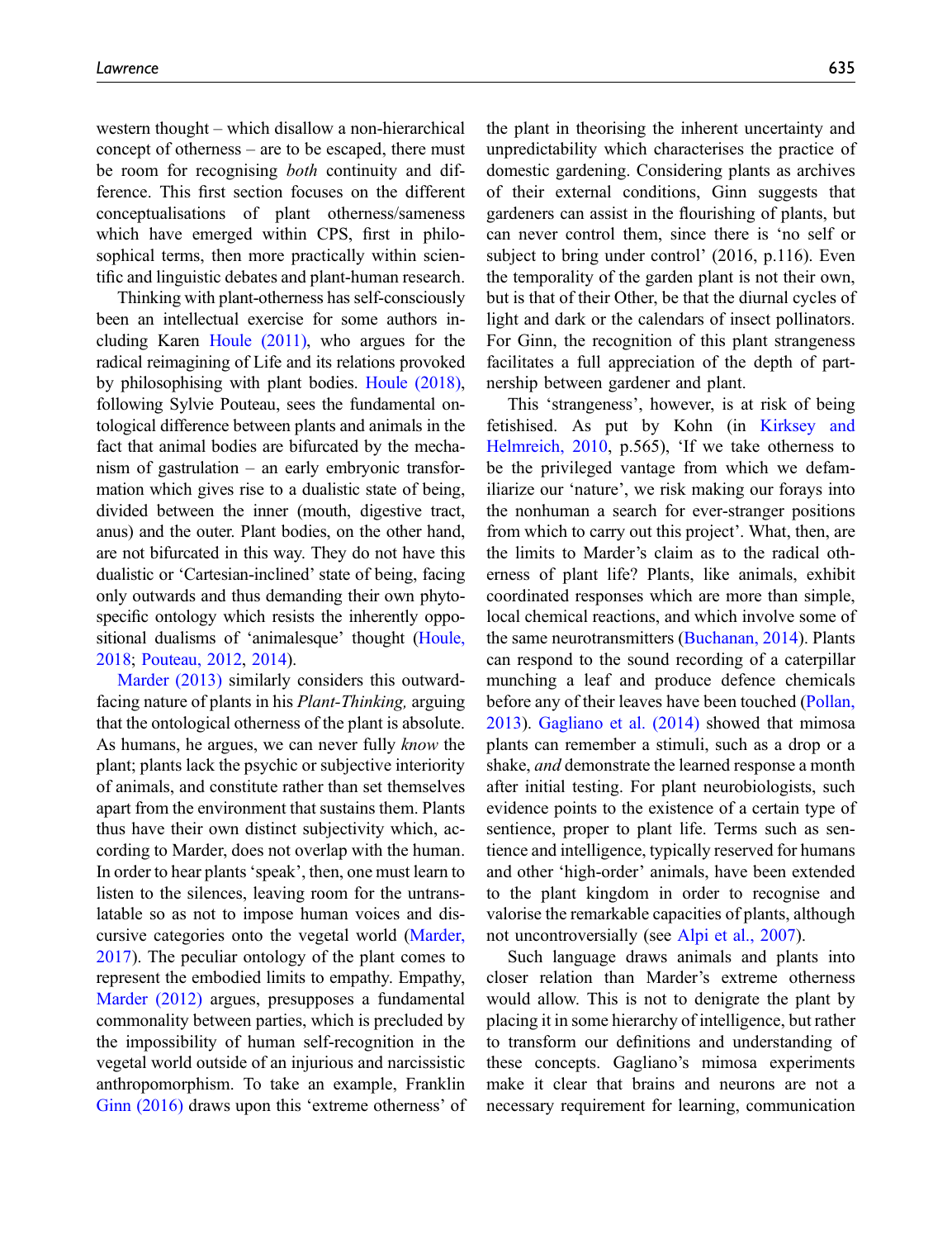western thought – which disallow a non-hierarchical concept of otherness – are to be escaped, there must be room for recognising *both* continuity and difference. This first section focuses on the different conceptualisations of plant otherness/sameness which have emerged within CPS, first in philosophical terms, then more practically within scientific and linguistic debates and plant-human research.

Thinking with plant-otherness has self-consciously been an intellectual exercise for some authors including Karen [Houle \(2011\),](#page-17-13) who argues for the radical reimagining of Life and its relations provoked by philosophising with plant bodies. [Houle \(2018\)](#page-17-17), following Sylvie Pouteau, sees the fundamental ontological difference between plants and animals in the fact that animal bodies are bifurcated by the mechanism of gastrulation – an early embryonic transformation which gives rise to a dualistic state of being, divided between the inner (mouth, digestive tract, anus) and the outer. Plant bodies, on the other hand, are not bifurcated in this way. They do not have this dualistic or 'Cartesian-inclined' state of being, facing only outwards and thus demanding their own phytospecific ontology which resists the inherently oppositional dualisms of 'animalesque' thought ([Houle,](#page-17-17) [2018;](#page-17-17) [Pouteau, 2012](#page-20-13), [2014](#page-20-14)).

[Marder \(2013\)](#page-18-8) similarly considers this outwardfacing nature of plants in his Plant-Thinking, arguing that the ontological otherness of the plant is absolute. As humans, he argues, we can never fully *know* the plant; plants lack the psychic or subjective interiority of animals, and constitute rather than set themselves apart from the environment that sustains them. Plants thus have their own distinct subjectivity which, according to Marder, does not overlap with the human. In order to hear plants'speak', then, one must learn to listen to the silences, leaving room for the untranslatable so as not to impose human voices and discursive categories onto the vegetal world ([Marder,](#page-18-12) [2017](#page-18-12)). The peculiar ontology of the plant comes to represent the embodied limits to empathy. Empathy, [Marder \(2012\)](#page-18-13) argues, presupposes a fundamental commonality between parties, which is precluded by the impossibility of human self-recognition in the vegetal world outside of an injurious and narcissistic anthropomorphism. To take an example, Franklin [Ginn \(2016\)](#page-16-1) draws upon this 'extreme otherness' of the plant in theorising the inherent uncertainty and unpredictability which characterises the practice of domestic gardening. Considering plants as archives of their external conditions, Ginn suggests that gardeners can assist in the flourishing of plants, but can never control them, since there is 'no self or subject to bring under control' (2016, p.116). Even the temporality of the garden plant is not their own, but is that of their Other, be that the diurnal cycles of light and dark or the calendars of insect pollinators. For Ginn, the recognition of this plant strangeness facilitates a full appreciation of the depth of partnership between gardener and plant.

This 'strangeness', however, is at risk of being fetishised. As put by Kohn (in [Kirksey and](#page-18-6) [Helmreich, 2010](#page-18-6), p.565), 'If we take otherness to be the privileged vantage from which we defamiliarize our 'nature', we risk making our forays into the nonhuman a search for ever-stranger positions from which to carry out this project'. What, then, are the limits to Marder's claim as to the radical otherness of plant life? Plants, like animals, exhibit coordinated responses which are more than simple, local chemical reactions, and which involve some of the same neurotransmitters [\(Buchanan, 2014\)](#page-15-16). Plants can respond to the sound recording of a caterpillar munching a leaf and produce defence chemicals before any of their leaves have been touched ([Pollan,](#page-20-15) [2013\)](#page-20-15). [Gagliano et al. \(2014\)](#page-16-16) showed that mimosa plants can remember a stimuli, such as a drop or a shake, and demonstrate the learned response a month after initial testing. For plant neurobiologists, such evidence points to the existence of a certain type of sentience, proper to plant life. Terms such as sentience and intelligence, typically reserved for humans and other 'high-order' animals, have been extended to the plant kingdom in order to recognise and valorise the remarkable capacities of plants, although not uncontroversially (see [Alpi et al., 2007](#page-14-7)).

Such language draws animals and plants into closer relation than Marder's extreme otherness would allow. This is not to denigrate the plant by placing it in some hierarchy of intelligence, but rather to transform our definitions and understanding of these concepts. Gagliano's mimosa experiments make it clear that brains and neurons are not a necessary requirement for learning, communication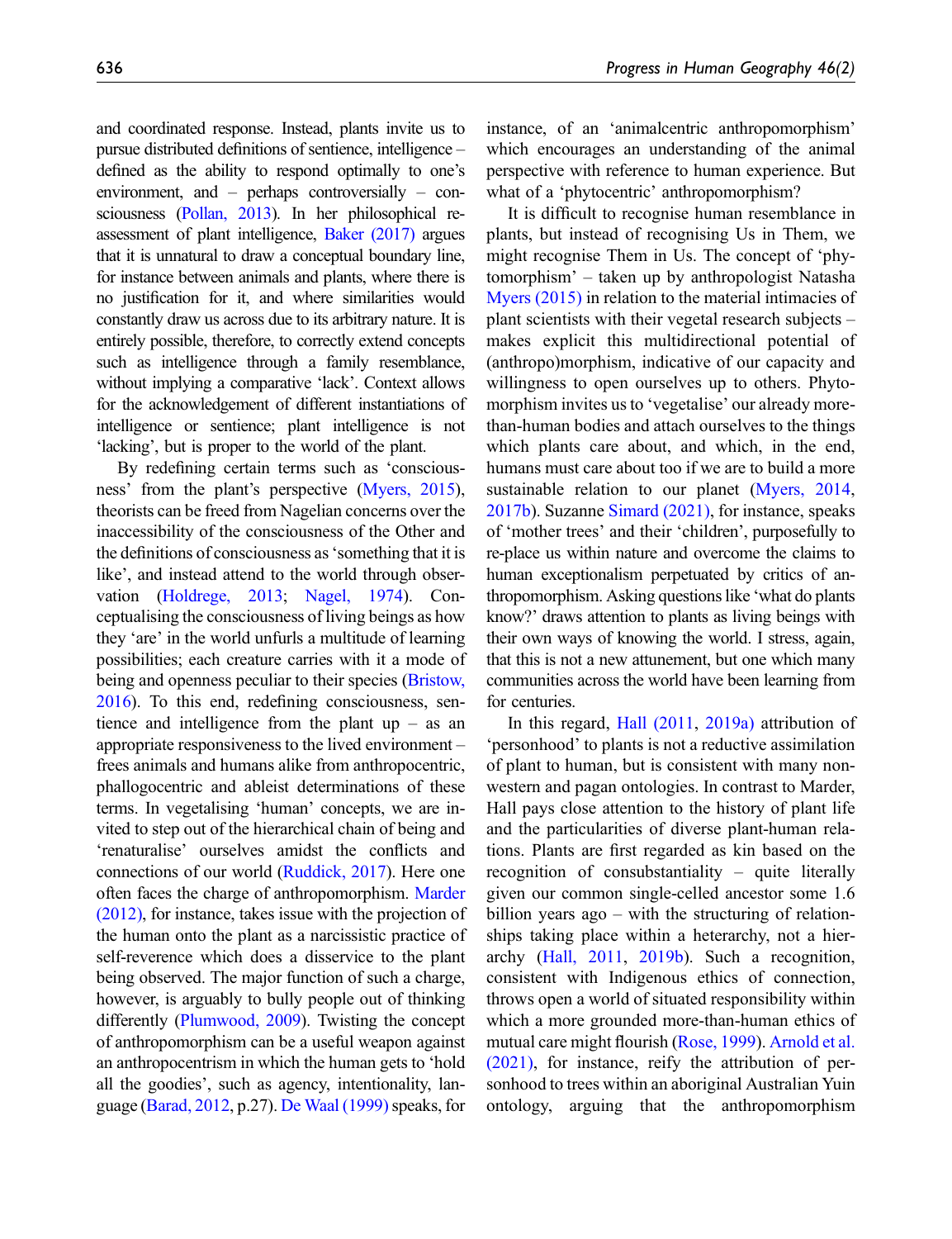and coordinated response. Instead, plants invite us to pursue distributed definitions of sentience, intelligence – defined as the ability to respond optimally to one's environment, and – perhaps controversially – consciousness [\(Pollan, 2013\)](#page-20-15). In her philosophical reassessment of plant intelligence, [Baker \(2017\)](#page-14-8) argues that it is unnatural to draw a conceptual boundary line, for instance between animals and plants, where there is no justification for it, and where similarities would constantly draw us across due to its arbitrary nature. It is entirely possible, therefore, to correctly extend concepts such as intelligence through a family resemblance, without implying a comparative 'lack'. Context allows for the acknowledgement of different instantiations of intelligence or sentience; plant intelligence is not 'lacking', but is proper to the world of the plant.

By redefining certain terms such as 'consciousness' from the plant's perspective [\(Myers, 2015](#page-19-19)), theorists can be freed from Nagelian concerns over the inaccessibility of the consciousness of the Other and the definitions of consciousness as'something that it is like', and instead attend to the world through observation [\(Holdrege, 2013](#page-17-18); [Nagel, 1974\)](#page-19-20). Conceptualising the consciousness of living beings as how they 'are' in the world unfurls a multitude of learning possibilities; each creature carries with it a mode of being and openness peculiar to their species [\(Bristow,](#page-15-17) [2016\)](#page-15-17). To this end, redefining consciousness, sentience and intelligence from the plant  $up - as$  and appropriate responsiveness to the lived environment – frees animals and humans alike from anthropocentric, phallogocentric and ableist determinations of these terms. In vegetalising 'human' concepts, we are invited to step out of the hierarchical chain of being and 'renaturalise' ourselves amidst the conflicts and connections of our world [\(Ruddick, 2017](#page-20-16)). Here one often faces the charge of anthropomorphism. [Marder](#page-18-13) [\(2012\),](#page-18-13) for instance, takes issue with the projection of the human onto the plant as a narcissistic practice of self-reverence which does a disservice to the plant being observed. The major function of such a charge, however, is arguably to bully people out of thinking differently [\(Plumwood, 2009](#page-20-17)). Twisting the concept of anthropomorphism can be a useful weapon against an anthropocentrism in which the human gets to 'hold all the goodies', such as agency, intentionality, lan-guage [\(Barad, 2012](#page-15-18), p.27). [De Waal \(1999\)](#page-15-19) speaks, for

instance, of an 'animalcentric anthropomorphism' which encourages an understanding of the animal perspective with reference to human experience. But what of a 'phytocentric' anthropomorphism?

It is difficult to recognise human resemblance in plants, but instead of recognising Us in Them, we might recognise Them in Us. The concept of 'phytomorphism' – taken up by anthropologist Natasha [Myers \(2015\)](#page-19-19) in relation to the material intimacies of plant scientists with their vegetal research subjects – makes explicit this multidirectional potential of (anthropo)morphism, indicative of our capacity and willingness to open ourselves up to others. Phytomorphism invites us to 'vegetalise' our already morethan-human bodies and attach ourselves to the things which plants care about, and which, in the end, humans must care about too if we are to build a more sustainable relation to our planet [\(Myers, 2014](#page-19-21), [2017b\)](#page-19-18). Suzanne [Simard \(2021\),](#page-21-7) for instance, speaks of 'mother trees' and their 'children', purposefully to re-place us within nature and overcome the claims to human exceptionalism perpetuated by critics of anthropomorphism. Asking questions like 'what do plants know?' draws attention to plants as living beings with their own ways of knowing the world. I stress, again, that this is not a new attunement, but one which many communities across the world have been learning from for centuries.

In this regard, [Hall \(2011,](#page-17-3) [2019a\)](#page-17-19) attribution of 'personhood' to plants is not a reductive assimilation of plant to human, but is consistent with many nonwestern and pagan ontologies. In contrast to Marder, Hall pays close attention to the history of plant life and the particularities of diverse plant-human relations. Plants are first regarded as kin based on the recognition of consubstantiality – quite literally given our common single-celled ancestor some 1.6 billion years ago – with the structuring of relationships taking place within a heterarchy, not a hierarchy [\(Hall, 2011,](#page-17-3) [2019b\)](#page-17-14). Such a recognition, consistent with Indigenous ethics of connection, throws open a world of situated responsibility within which a more grounded more-than-human ethics of mutual care might flourish [\(Rose, 1999\)](#page-20-18). [Arnold et al.](#page-14-3) [\(2021\)](#page-14-3), for instance, reify the attribution of personhood to trees within an aboriginal Australian Yuin ontology, arguing that the anthropomorphism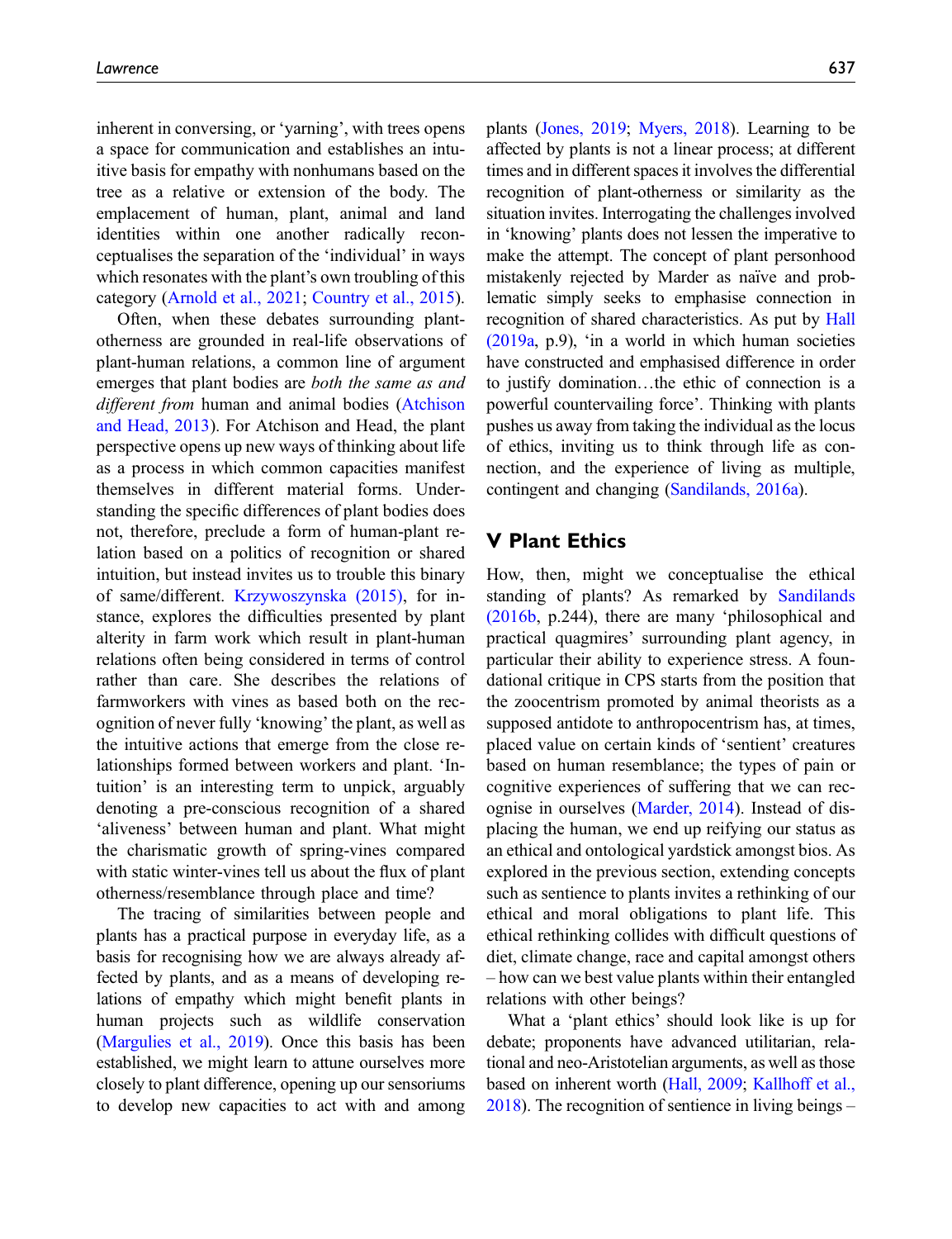inherent in conversing, or 'yarning', with trees opens a space for communication and establishes an intuitive basis for empathy with nonhumans based on the tree as a relative or extension of the body. The emplacement of human, plant, animal and land identities within one another radically reconceptualises the separation of the 'individual' in ways which resonates with the plant's own troubling of this category [\(Arnold et al., 2021](#page-14-3); [Country et al., 2015](#page-15-20)).

Often, when these debates surrounding plantotherness are grounded in real-life observations of plant-human relations, a common line of argument emerges that plant bodies are both the same as and different from human and animal bodies [\(Atchison](#page-14-1) [and Head, 2013](#page-14-1)). For Atchison and Head, the plant perspective opens up new ways of thinking about life as a process in which common capacities manifest themselves in different material forms. Understanding the specific differences of plant bodies does not, therefore, preclude a form of human-plant relation based on a politics of recognition or shared intuition, but instead invites us to trouble this binary of same/different. [Krzywoszynska \(2015\),](#page-18-3) for instance, explores the difficulties presented by plant alterity in farm work which result in plant-human relations often being considered in terms of control rather than care. She describes the relations of farmworkers with vines as based both on the recognition of never fully 'knowing' the plant, as well as the intuitive actions that emerge from the close relationships formed between workers and plant. 'Intuition' is an interesting term to unpick, arguably denoting a pre-conscious recognition of a shared 'aliveness' between human and plant. What might the charismatic growth of spring-vines compared with static winter-vines tell us about the flux of plant otherness/resemblance through place and time?

The tracing of similarities between people and plants has a practical purpose in everyday life, as a basis for recognising how we are always already affected by plants, and as a means of developing relations of empathy which might benefit plants in human projects such as wildlife conservation [\(Margulies et al., 2019](#page-18-14)). Once this basis has been established, we might learn to attune ourselves more closely to plant difference, opening up our sensoriums to develop new capacities to act with and among plants [\(Jones, 2019;](#page-17-8) [Myers, 2018\)](#page-19-0). Learning to be affected by plants is not a linear process; at different times and in different spaces it involves the differential recognition of plant-otherness or similarity as the situation invites. Interrogating the challenges involved in 'knowing' plants does not lessen the imperative to make the attempt. The concept of plant personhood mistakenly rejected by Marder as naïve and problematic simply seeks to emphasise connection in recognition of shared characteristics. As put by [Hall](#page-17-19) [\(2019a,](#page-17-19) p.9), 'in a world in which human societies have constructed and emphasised difference in order to justify domination…the ethic of connection is a powerful countervailing force'. Thinking with plants pushes us away from taking the individual as the locus of ethics, inviting us to think through life as connection, and the experience of living as multiple, contingent and changing [\(Sandilands, 2016a](#page-20-19)).

## <span id="page-8-0"></span>V Plant Ethics

How, then, might we conceptualise the ethical standing of plants? As remarked by [Sandilands](#page-20-20) [\(2016b](#page-20-20), p.244), there are many 'philosophical and practical quagmires' surrounding plant agency, in particular their ability to experience stress. A foundational critique in CPS starts from the position that the zoocentrism promoted by animal theorists as a supposed antidote to anthropocentrism has, at times, placed value on certain kinds of 'sentient' creatures based on human resemblance; the types of pain or cognitive experiences of suffering that we can recognise in ourselves ([Marder, 2014\)](#page-18-15). Instead of displacing the human, we end up reifying our status as an ethical and ontological yardstick amongst bios. As explored in the previous section, extending concepts such as sentience to plants invites a rethinking of our ethical and moral obligations to plant life. This ethical rethinking collides with difficult questions of diet, climate change, race and capital amongst others – how can we best value plants within their entangled relations with other beings?

What a 'plant ethics' should look like is up for debate; proponents have advanced utilitarian, relational and neo-Aristotelian arguments, as well as those based on inherent worth [\(Hall, 2009;](#page-17-12) [Kallhoff et al.,](#page-18-16) [2018](#page-18-16)). The recognition of sentience in living beings –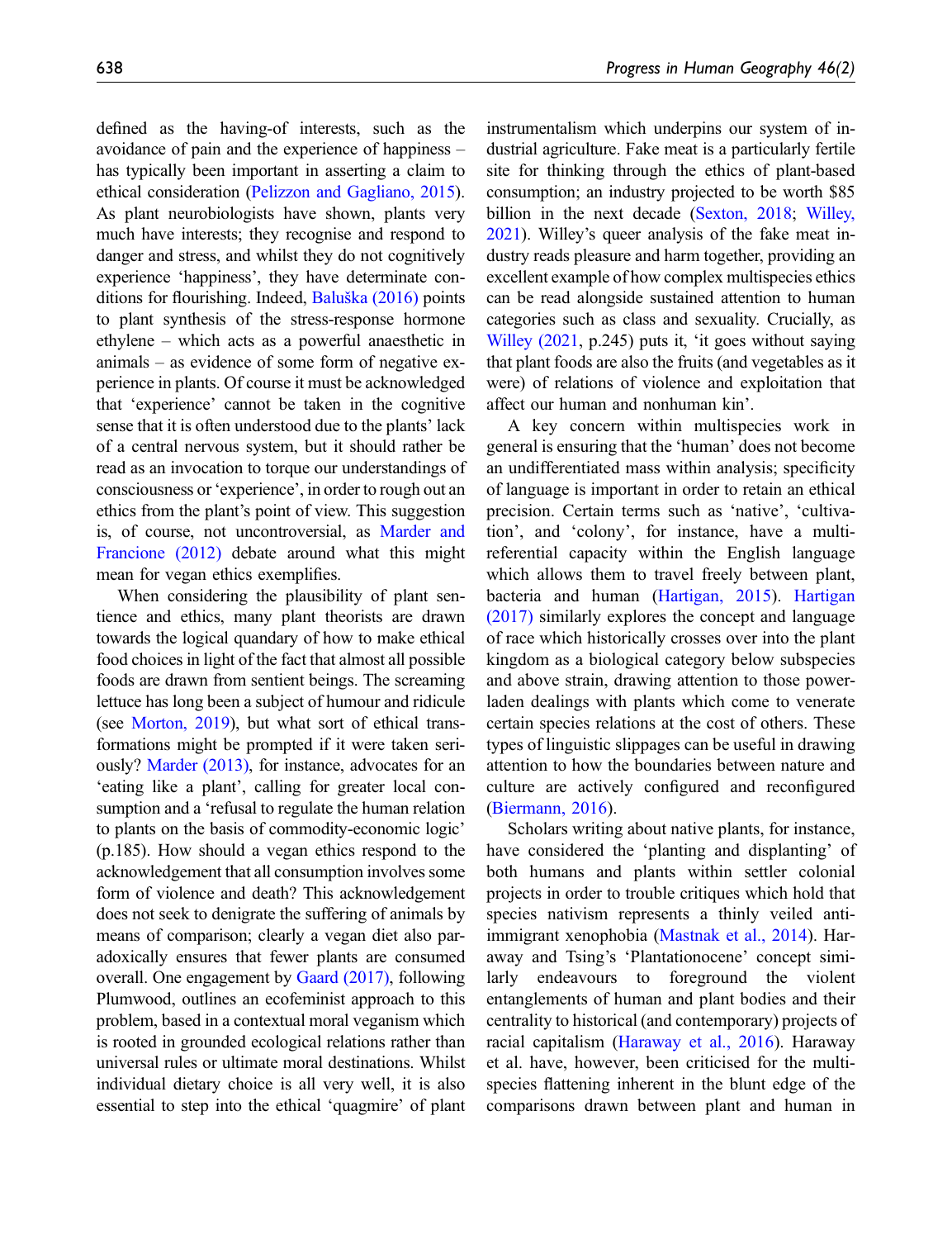defined as the having-of interests, such as the avoidance of pain and the experience of happiness – has typically been important in asserting a claim to ethical consideration ([Pelizzon and Gagliano, 2015](#page-19-22)). As plant neurobiologists have shown, plants very much have interests; they recognise and respond to danger and stress, and whilst they do not cognitively experience 'happiness', they have determinate conditions for flourishing. Indeed, Baluška  $(2016)$  points to plant synthesis of the stress-response hormone ethylene – which acts as a powerful anaesthetic in animals – as evidence of some form of negative experience in plants. Of course it must be acknowledged that 'experience' cannot be taken in the cognitive sense that it is often understood due to the plants' lack of a central nervous system, but it should rather be read as an invocation to torque our understandings of consciousness or 'experience', in order to rough out an ethics from the plant's point of view. This suggestion is, of course, not uncontroversial, as [Marder and](#page-18-17) [Francione \(2012\)](#page-18-17) debate around what this might mean for vegan ethics exemplifies.

When considering the plausibility of plant sentience and ethics, many plant theorists are drawn towards the logical quandary of how to make ethical food choices in light of the fact that almost all possible foods are drawn from sentient beings. The screaming lettuce has long been a subject of humour and ridicule (see [Morton, 2019](#page-19-23)), but what sort of ethical transformations might be prompted if it were taken seriously? [Marder \(2013\)](#page-18-8), for instance, advocates for an 'eating like a plant', calling for greater local consumption and a 'refusal to regulate the human relation to plants on the basis of commodity-economic logic' (p.185). How should a vegan ethics respond to the acknowledgement that all consumption involves some form of violence and death? This acknowledgement does not seek to denigrate the suffering of animals by means of comparison; clearly a vegan diet also paradoxically ensures that fewer plants are consumed overall. One engagement by [Gaard \(2017\)](#page-16-17), following Plumwood, outlines an ecofeminist approach to this problem, based in a contextual moral veganism which is rooted in grounded ecological relations rather than universal rules or ultimate moral destinations. Whilst individual dietary choice is all very well, it is also essential to step into the ethical 'quagmire' of plant instrumentalism which underpins our system of industrial agriculture. Fake meat is a particularly fertile site for thinking through the ethics of plant-based consumption; an industry projected to be worth \$85 billion in the next decade ([Sexton, 2018;](#page-21-16) [Willey,](#page-21-17) [2021](#page-21-17)). Willey's queer analysis of the fake meat industry reads pleasure and harm together, providing an excellent example of how complex multispecies ethics can be read alongside sustained attention to human categories such as class and sexuality. Crucially, as [Willey \(2021,](#page-21-17) p.245) puts it, 'it goes without saying that plant foods are also the fruits (and vegetables as it were) of relations of violence and exploitation that affect our human and nonhuman kin'.

A key concern within multispecies work in general is ensuring that the 'human' does not become an undifferentiated mass within analysis; specificity of language is important in order to retain an ethical precision. Certain terms such as 'native', 'cultivation', and 'colony', for instance, have a multireferential capacity within the English language which allows them to travel freely between plant, bacteria and human [\(Hartigan, 2015](#page-17-20)). [Hartigan](#page-17-21) [\(2017\)](#page-17-21) similarly explores the concept and language of race which historically crosses over into the plant kingdom as a biological category below subspecies and above strain, drawing attention to those powerladen dealings with plants which come to venerate certain species relations at the cost of others. These types of linguistic slippages can be useful in drawing attention to how the boundaries between nature and culture are actively configured and reconfigured [\(Biermann, 2016\)](#page-15-21).

Scholars writing about native plants, for instance, have considered the 'planting and displanting' of both humans and plants within settler colonial projects in order to trouble critiques which hold that species nativism represents a thinly veiled antiimmigrant xenophobia [\(Mastnak et al., 2014\)](#page-18-18). Haraway and Tsing's 'Plantationocene' concept similarly endeavours to foreground the violent entanglements of human and plant bodies and their centrality to historical (and contemporary) projects of racial capitalism ([Haraway et al., 2016\)](#page-17-22). Haraway et al. have, however, been criticised for the multispecies flattening inherent in the blunt edge of the comparisons drawn between plant and human in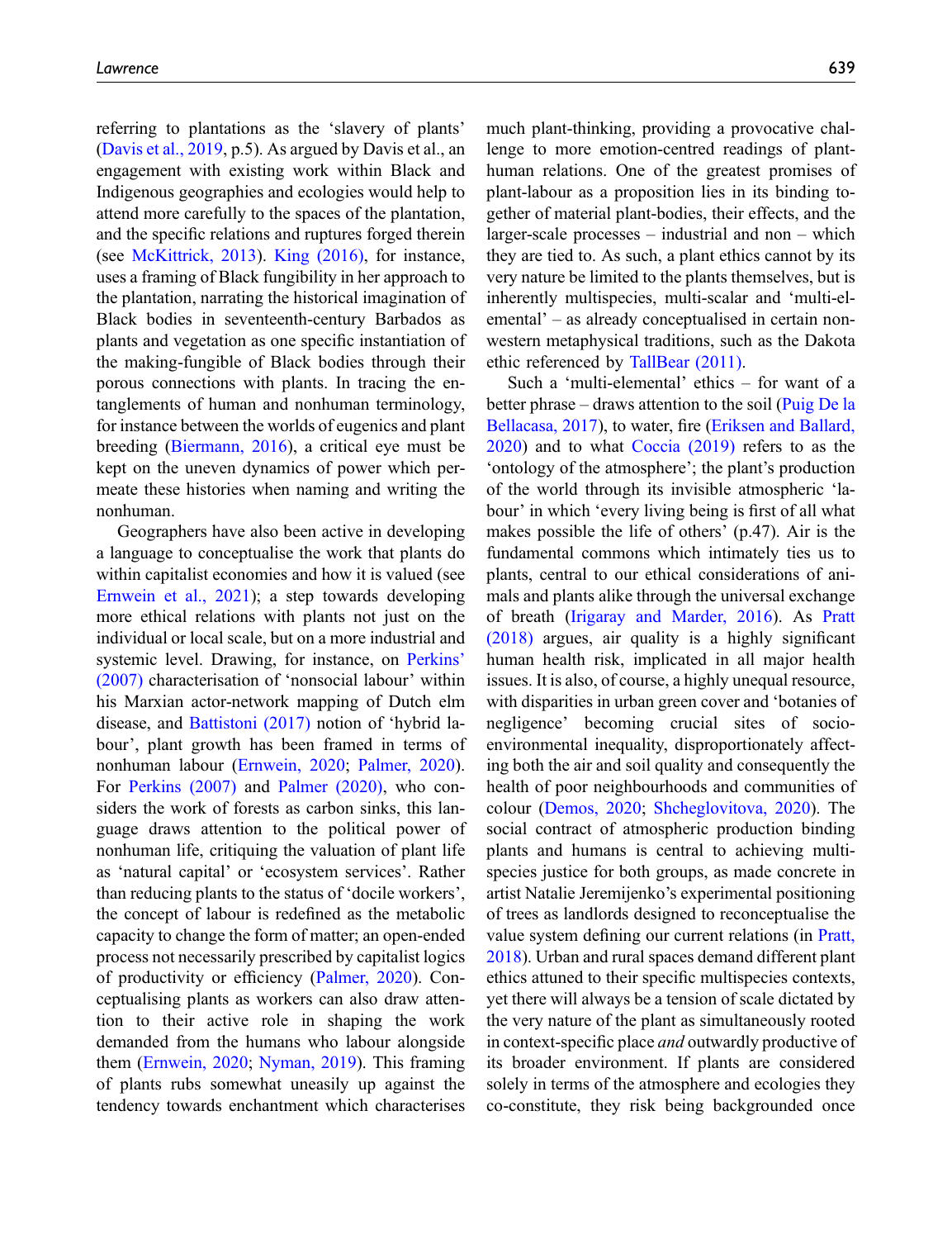referring to plantations as the 'slavery of plants' [\(Davis et al., 2019,](#page-15-8) p.5). As argued by Davis et al., an engagement with existing work within Black and Indigenous geographies and ecologies would help to attend more carefully to the spaces of the plantation, and the specific relations and ruptures forged therein (see [McKittrick, 2013\)](#page-18-19). [King \(2016\),](#page-18-20) for instance, uses a framing of Black fungibility in her approach to the plantation, narrating the historical imagination of Black bodies in seventeenth-century Barbados as plants and vegetation as one specific instantiation of the making-fungible of Black bodies through their porous connections with plants. In tracing the entanglements of human and nonhuman terminology, for instance between the worlds of eugenics and plant breeding [\(Biermann, 2016\)](#page-15-21), a critical eye must be kept on the uneven dynamics of power which permeate these histories when naming and writing the nonhuman.

Geographers have also been active in developing a language to conceptualise the work that plants do within capitalist economies and how it is valued (see [Ernwein et al., 2021](#page-16-18)); a step towards developing more ethical relations with plants not just on the individual or local scale, but on a more industrial and systemic level. Drawing, for instance, on [Perkins](#page-19-24)' [\(2007\)](#page-19-24) characterisation of 'nonsocial labour' within his Marxian actor-network mapping of Dutch elm disease, and [Battistoni \(2017\)](#page-15-22) notion of 'hybrid labour', plant growth has been framed in terms of nonhuman labour ([Ernwein, 2020](#page-16-4); [Palmer, 2020](#page-19-12)). For [Perkins \(2007\)](#page-19-24) and [Palmer \(2020\)](#page-19-12), who considers the work of forests as carbon sinks, this language draws attention to the political power of nonhuman life, critiquing the valuation of plant life as 'natural capital' or 'ecosystem services'. Rather than reducing plants to the status of 'docile workers', the concept of labour is redefined as the metabolic capacity to change the form of matter; an open-ended process not necessarily prescribed by capitalist logics of productivity or efficiency ([Palmer, 2020](#page-19-12)). Conceptualising plants as workers can also draw attention to their active role in shaping the work demanded from the humans who labour alongside them ([Ernwein, 2020;](#page-16-4) [Nyman, 2019\)](#page-19-4). This framing of plants rubs somewhat uneasily up against the tendency towards enchantment which characterises

much plant-thinking, providing a provocative challenge to more emotion-centred readings of planthuman relations. One of the greatest promises of plant-labour as a proposition lies in its binding together of material plant-bodies, their effects, and the larger-scale processes – industrial and non – which they are tied to. As such, a plant ethics cannot by its very nature be limited to the plants themselves, but is inherently multispecies, multi-scalar and 'multi-elemental' – as already conceptualised in certain nonwestern metaphysical traditions, such as the Dakota ethic referenced by [TallBear \(2011\).](#page-21-1)

Such a 'multi-elemental' ethics – for want of a better phrase – draws attention to the soil [\(Puig De la](#page-20-5) [Bellacasa, 2017\)](#page-20-5), to water, fire [\(Eriksen and Ballard,](#page-16-19) [2020\)](#page-16-19) and to what [Coccia \(2019\)](#page-15-13) refers to as the 'ontology of the atmosphere'; the plant's production of the world through its invisible atmospheric 'labour' in which 'every living being is first of all what makes possible the life of others' (p.47). Air is the fundamental commons which intimately ties us to plants, central to our ethical considerations of animals and plants alike through the universal exchange of breath [\(Irigaray and Marder, 2016\)](#page-17-23). As [Pratt](#page-20-21) [\(2018\)](#page-20-21) argues, air quality is a highly significant human health risk, implicated in all major health issues. It is also, of course, a highly unequal resource, with disparities in urban green cover and 'botanies of negligence' becoming crucial sites of socioenvironmental inequality, disproportionately affecting both the air and soil quality and consequently the health of poor neighbourhoods and communities of colour [\(Demos, 2020](#page-16-20); [Shcheglovitova, 2020](#page-21-5)). The social contract of atmospheric production binding plants and humans is central to achieving multispecies justice for both groups, as made concrete in artist Natalie Jeremijenko's experimental positioning of trees as landlords designed to reconceptualise the value system defining our current relations (in [Pratt,](#page-20-21) [2018\)](#page-20-21). Urban and rural spaces demand different plant ethics attuned to their specific multispecies contexts, yet there will always be a tension of scale dictated by the very nature of the plant as simultaneously rooted in context-specific place and outwardly productive of its broader environment. If plants are considered solely in terms of the atmosphere and ecologies they co-constitute, they risk being backgrounded once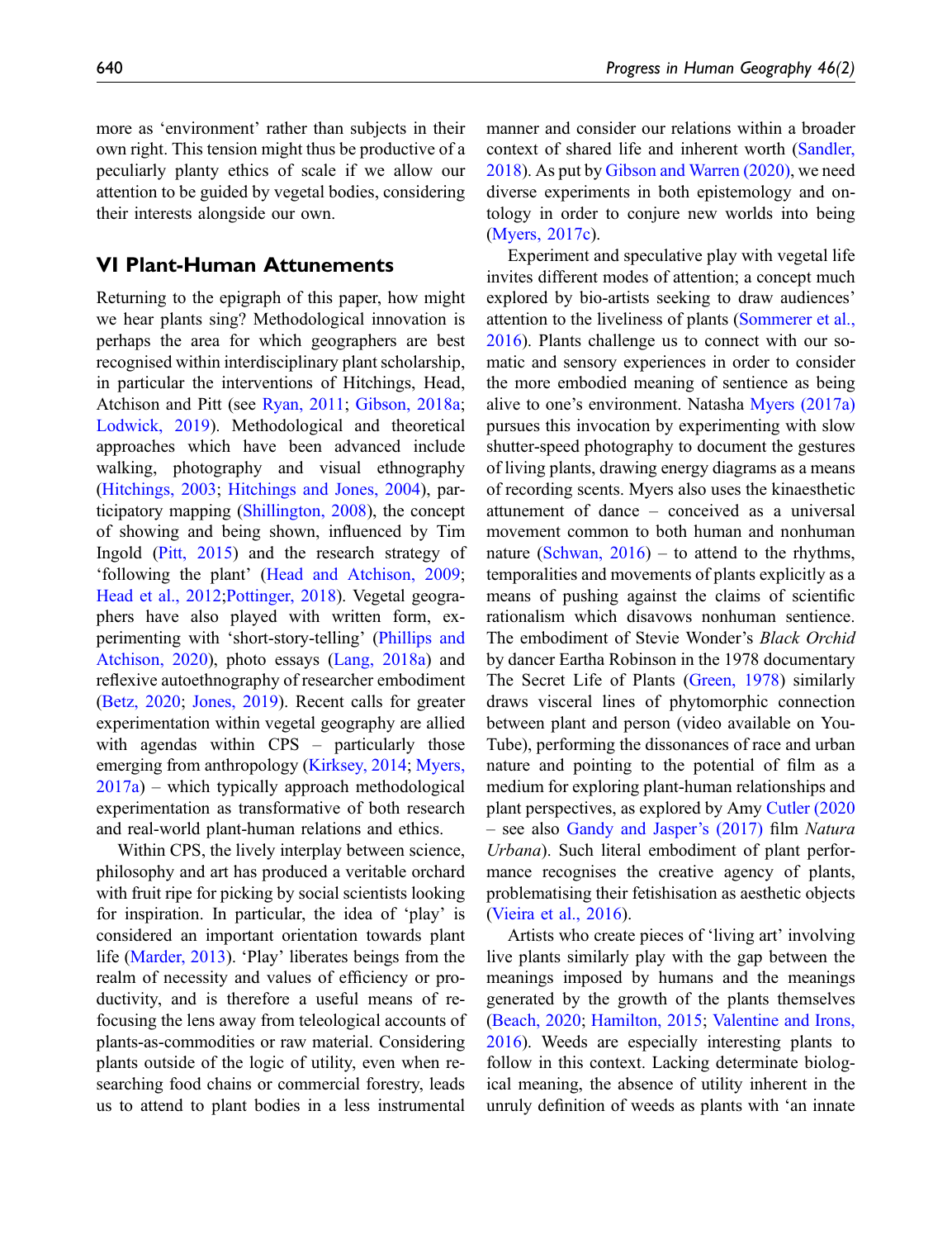## <span id="page-11-0"></span>VI Plant-Human Attunements

Returning to the epigraph of this paper, how might we hear plants sing? Methodological innovation is perhaps the area for which geographers are best recognised within interdisciplinary plant scholarship, in particular the interventions of Hitchings, Head, Atchison and Pitt (see [Ryan, 2011](#page-20-8); [Gibson, 2018a](#page-16-21); [Lodwick, 2019](#page-18-21)). Methodological and theoretical approaches which have been advanced include walking, photography and visual ethnography [\(Hitchings, 2003](#page-17-24); [Hitchings and Jones, 2004\)](#page-17-25), participatory mapping ([Shillington, 2008\)](#page-21-4), the concept of showing and being shown, influenced by Tim Ingold [\(Pitt, 2015](#page-19-25)) and the research strategy of 'following the plant' ([Head and Atchison, 2009](#page-17-0); [Head et al., 2012](#page-17-6)[;Pottinger, 2018](#page-20-2)). Vegetal geographers have also played with written form, experimenting with 'short-story-telling' [\(Phillips and](#page-19-10) [Atchison, 2020](#page-19-10)), photo essays ([Lang, 2018a\)](#page-18-4) and reflexive autoethnography of researcher embodiment [\(Betz, 2020;](#page-15-23) [Jones, 2019\)](#page-17-8). Recent calls for greater experimentation within vegetal geography are allied with agendas within CPS – particularly those emerging from anthropology ([Kirksey, 2014](#page-18-22); [Myers,](#page-19-17)  $2017a$ ) – which typically approach methodological experimentation as transformative of both research and real-world plant-human relations and ethics.

Within CPS, the lively interplay between science, philosophy and art has produced a veritable orchard with fruit ripe for picking by social scientists looking for inspiration. In particular, the idea of 'play' is considered an important orientation towards plant life [\(Marder, 2013](#page-18-8)). 'Play' liberates beings from the realm of necessity and values of efficiency or productivity, and is therefore a useful means of refocusing the lens away from teleological accounts of plants-as-commodities or raw material. Considering plants outside of the logic of utility, even when researching food chains or commercial forestry, leads us to attend to plant bodies in a less instrumental

manner and consider our relations within a broader context of shared life and inherent worth [\(Sandler,](#page-20-22) [2018\)](#page-20-22). As put by [Gibson and Warren \(2020\),](#page-16-3) we need diverse experiments in both epistemology and ontology in order to conjure new worlds into being [\(Myers, 2017c\)](#page-19-26).

Experiment and speculative play with vegetal life invites different modes of attention; a concept much explored by bio-artists seeking to draw audiences' attention to the liveliness of plants [\(Sommerer et al.,](#page-21-18) [2016\)](#page-21-18). Plants challenge us to connect with our somatic and sensory experiences in order to consider the more embodied meaning of sentience as being alive to one's environment. Natasha [Myers \(2017a\)](#page-19-17) pursues this invocation by experimenting with slow shutter-speed photography to document the gestures of living plants, drawing energy diagrams as a means of recording scents. Myers also uses the kinaesthetic attunement of dance – conceived as a universal movement common to both human and nonhuman nature (Schwan,  $2016$ ) – to attend to the rhythms, temporalities and movements of plants explicitly as a means of pushing against the claims of scientific rationalism which disavows nonhuman sentience. The embodiment of Stevie Wonder's Black Orchid by dancer Eartha Robinson in the 1978 documentary The Secret Life of Plants ([Green, 1978\)](#page-16-22) similarly draws visceral lines of phytomorphic connection between plant and person (video available on You-Tube), performing the dissonances of race and urban nature and pointing to the potential of film as a medium for exploring plant-human relationships and plant perspectives, as explored by Amy [Cutler \(2020](#page-15-24) – see also [Gandy and Jasper](#page-19-27)'s (2017) film Natura Urbana). Such literal embodiment of plant performance recognises the creative agency of plants, problematising their fetishisation as aesthetic objects [\(Vieira et al., 2016](#page-21-20)).

Artists who create pieces of 'living art' involving live plants similarly play with the gap between the meanings imposed by humans and the meanings generated by the growth of the plants themselves [\(Beach, 2020](#page-15-25); [Hamilton, 2015;](#page-17-26) [Valentine and Irons,](#page-21-21) [2016\)](#page-21-21). Weeds are especially interesting plants to follow in this context. Lacking determinate biological meaning, the absence of utility inherent in the unruly definition of weeds as plants with 'an innate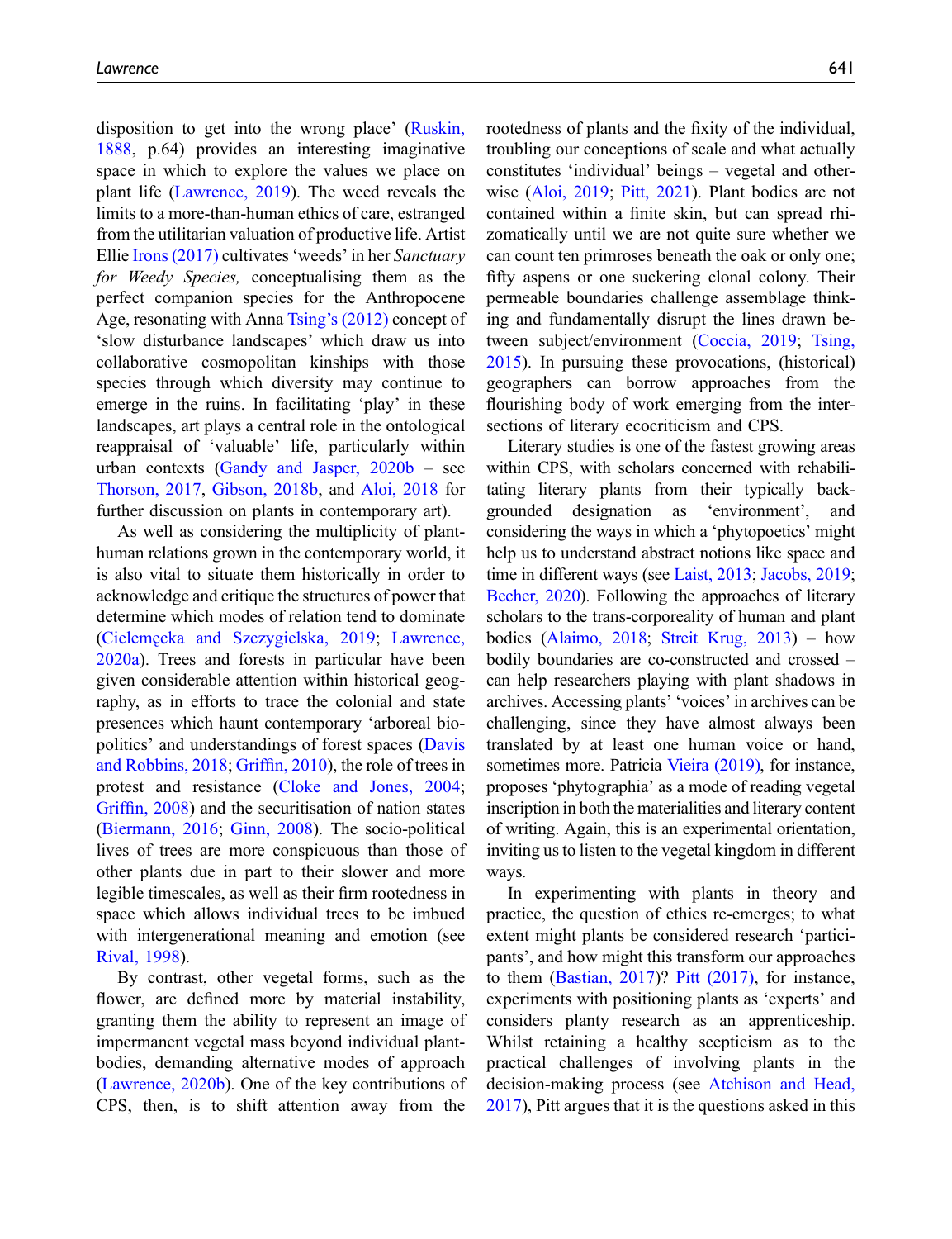disposition to get into the wrong place' [\(Ruskin,](#page-20-23) [1888](#page-20-23), p.64) provides an interesting imaginative space in which to explore the values we place on plant life [\(Lawrence, 2019\)](#page-18-23). The weed reveals the limits to a more-than-human ethics of care, estranged from the utilitarian valuation of productive life. Artist Ellie [Irons \(2017\)](#page-17-27) cultivates 'weeds' in her Sanctuary for Weedy Species, conceptualising them as the perfect companion species for the Anthropocene Age, resonating with Anna Tsing'[s \(2012\)](#page-21-22) concept of 'slow disturbance landscapes' which draw us into collaborative cosmopolitan kinships with those species through which diversity may continue to emerge in the ruins. In facilitating 'play' in these landscapes, art plays a central role in the ontological reappraisal of 'valuable' life, particularly within urban contexts (Gandy and Jasper,  $2020b -$  see [Thorson, 2017](#page-21-23), [Gibson, 2018b](#page-16-24), and [Aloi, 2018](#page-14-10) for further discussion on plants in contemporary art).

As well as considering the multiplicity of planthuman relations grown in the contemporary world, it is also vital to situate them historically in order to acknowledge and critique the structures of power that determine which modes of relation tend to dominate [\(Cieleme](#page-15-14)˛[cka and Szczygielska, 2019](#page-15-14); [Lawrence,](#page-18-24) [2020a\)](#page-18-24). Trees and forests in particular have been given considerable attention within historical geography, as in efforts to trace the colonial and state presences which haunt contemporary 'arboreal biopolitics' and understandings of forest spaces ([Davis](#page-15-26) [and Robbins, 2018](#page-15-26); Griffi[n, 2010](#page-16-25)), the role of trees in protest and resistance ([Cloke and Jones, 2004](#page-15-27); Griffi[n, 2008\)](#page-16-26) and the securitisation of nation states [\(Biermann, 2016;](#page-15-21) [Ginn, 2008](#page-16-27)). The socio-political lives of trees are more conspicuous than those of other plants due in part to their slower and more legible timescales, as well as their firm rootedness in space which allows individual trees to be imbued with intergenerational meaning and emotion (see [Rival, 1998](#page-20-24)).

By contrast, other vegetal forms, such as the flower, are defined more by material instability, granting them the ability to represent an image of impermanent vegetal mass beyond individual plantbodies, demanding alternative modes of approach [\(Lawrence, 2020b\)](#page-18-25). One of the key contributions of CPS, then, is to shift attention away from the

rootedness of plants and the fixity of the individual, troubling our conceptions of scale and what actually constitutes 'individual' beings – vegetal and otherwise [\(Aloi, 2019;](#page-14-11) [Pitt, 2021\)](#page-20-25). Plant bodies are not contained within a finite skin, but can spread rhizomatically until we are not quite sure whether we can count ten primroses beneath the oak or only one; fifty aspens or one suckering clonal colony. Their permeable boundaries challenge assemblage thinking and fundamentally disrupt the lines drawn between subject/environment ([Coccia, 2019;](#page-15-13) [Tsing,](#page-21-24) [2015\)](#page-21-24). In pursuing these provocations, (historical) geographers can borrow approaches from the flourishing body of work emerging from the intersections of literary ecocriticism and CPS.

Literary studies is one of the fastest growing areas within CPS, with scholars concerned with rehabilitating literary plants from their typically backgrounded designation as 'environment', and considering the ways in which a 'phytopoetics' might help us to understand abstract notions like space and time in different ways (see [Laist, 2013](#page-18-26); [Jacobs, 2019;](#page-17-28) [Becher, 2020\)](#page-15-28). Following the approaches of literary scholars to the trans-corporeality of human and plant bodies ([Alaimo, 2018](#page-14-12); [Streit Krug, 2013\)](#page-21-25) – how bodily boundaries are co-constructed and crossed – can help researchers playing with plant shadows in archives. Accessing plants' 'voices' in archives can be challenging, since they have almost always been translated by at least one human voice or hand, sometimes more. Patricia [Vieira \(2019\),](#page-21-26) for instance, proposes 'phytographia' as a mode of reading vegetal inscription in both the materialities and literary content of writing. Again, this is an experimental orientation, inviting us to listen to the vegetal kingdom in different ways.

In experimenting with plants in theory and practice, the question of ethics re-emerges; to what extent might plants be considered research 'participants', and how might this transform our approaches to them ([Bastian, 2017\)](#page-15-29)? [Pitt \(2017\),](#page-19-8) for instance, experiments with positioning plants as 'experts' and considers planty research as an apprenticeship. Whilst retaining a healthy scepticism as to the practical challenges of involving plants in the decision-making process (see [Atchison and Head,](#page-14-13) [2017\)](#page-14-13), Pitt argues that it is the questions asked in this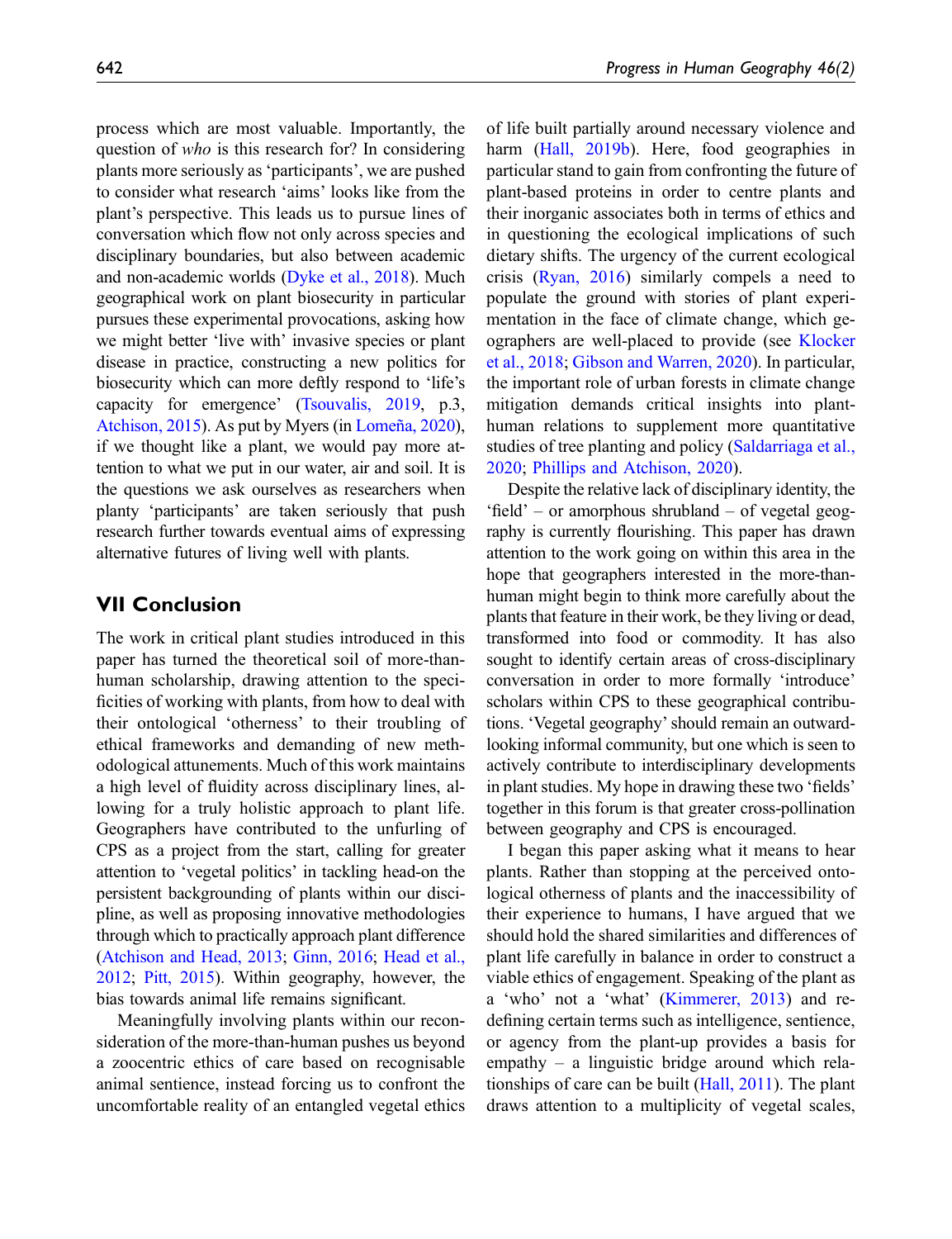process which are most valuable. Importantly, the question of who is this research for? In considering plants more seriously as 'participants', we are pushed to consider what research 'aims' looks like from the plant's perspective. This leads us to pursue lines of conversation which flow not only across species and disciplinary boundaries, but also between academic and non-academic worlds ([Dyke et al., 2018](#page-16-28)). Much geographical work on plant biosecurity in particular pursues these experimental provocations, asking how we might better 'live with' invasive species or plant disease in practice, constructing a new politics for biosecurity which can more deftly respond to 'life's capacity for emergence' ([Tsouvalis, 2019,](#page-21-6) p.3, [Atchison, 2015](#page-14-14)). As put by Myers (in [Lomeña, 2020](#page-18-27)), if we thought like a plant, we would pay more attention to what we put in our water, air and soil. It is the questions we ask ourselves as researchers when planty 'participants' are taken seriously that push research further towards eventual aims of expressing alternative futures of living well with plants.

## VII Conclusion

The work in critical plant studies introduced in this paper has turned the theoretical soil of more-thanhuman scholarship, drawing attention to the specificities of working with plants, from how to deal with their ontological 'otherness' to their troubling of ethical frameworks and demanding of new methodological attunements. Much of this work maintains a high level of fluidity across disciplinary lines, allowing for a truly holistic approach to plant life. Geographers have contributed to the unfurling of CPS as a project from the start, calling for greater attention to 'vegetal politics' in tackling head-on the persistent backgrounding of plants within our discipline, as well as proposing innovative methodologies through which to practically approach plant difference [\(Atchison and Head, 2013](#page-14-1); [Ginn, 2016;](#page-16-1) [Head et al.,](#page-17-6) [2012;](#page-17-6) [Pitt, 2015\)](#page-19-25). Within geography, however, the bias towards animal life remains significant.

Meaningfully involving plants within our reconsideration of the more-than-human pushes us beyond a zoocentric ethics of care based on recognisable animal sentience, instead forcing us to confront the uncomfortable reality of an entangled vegetal ethics of life built partially around necessary violence and harm ([Hall, 2019b\)](#page-17-14). Here, food geographies in particular stand to gain from confronting the future of plant-based proteins in order to centre plants and their inorganic associates both in terms of ethics and in questioning the ecological implications of such dietary shifts. The urgency of the current ecological crisis [\(Ryan, 2016](#page-20-26)) similarly compels a need to populate the ground with stories of plant experimentation in the face of climate change, which geographers are well-placed to provide (see [Klocker](#page-18-28) [et al., 2018](#page-18-28); [Gibson and Warren, 2020](#page-16-3)). In particular, the important role of urban forests in climate change mitigation demands critical insights into planthuman relations to supplement more quantitative studies of tree planting and policy ([Saldarriaga et al.,](#page-20-27) [2020;](#page-20-27) [Phillips and Atchison, 2020\)](#page-19-10).

Despite the relative lack of disciplinary identity, the 'field' – or amorphous shrubland – of vegetal geography is currently flourishing. This paper has drawn attention to the work going on within this area in the hope that geographers interested in the more-thanhuman might begin to think more carefully about the plants that feature in their work, be they living or dead, transformed into food or commodity. It has also sought to identify certain areas of cross-disciplinary conversation in order to more formally 'introduce' scholars within CPS to these geographical contributions. 'Vegetal geography'should remain an outwardlooking informal community, but one which is seen to actively contribute to interdisciplinary developments in plant studies. My hope in drawing these two 'fields' together in this forum is that greater cross-pollination between geography and CPS is encouraged.

I began this paper asking what it means to hear plants. Rather than stopping at the perceived ontological otherness of plants and the inaccessibility of their experience to humans, I have argued that we should hold the shared similarities and differences of plant life carefully in balance in order to construct a viable ethics of engagement. Speaking of the plant as a 'who' not a 'what' ([Kimmerer, 2013](#page-18-0)) and redefining certain terms such as intelligence, sentience, or agency from the plant-up provides a basis for empathy – a linguistic bridge around which relationships of care can be built ([Hall, 2011\)](#page-17-3). The plant draws attention to a multiplicity of vegetal scales,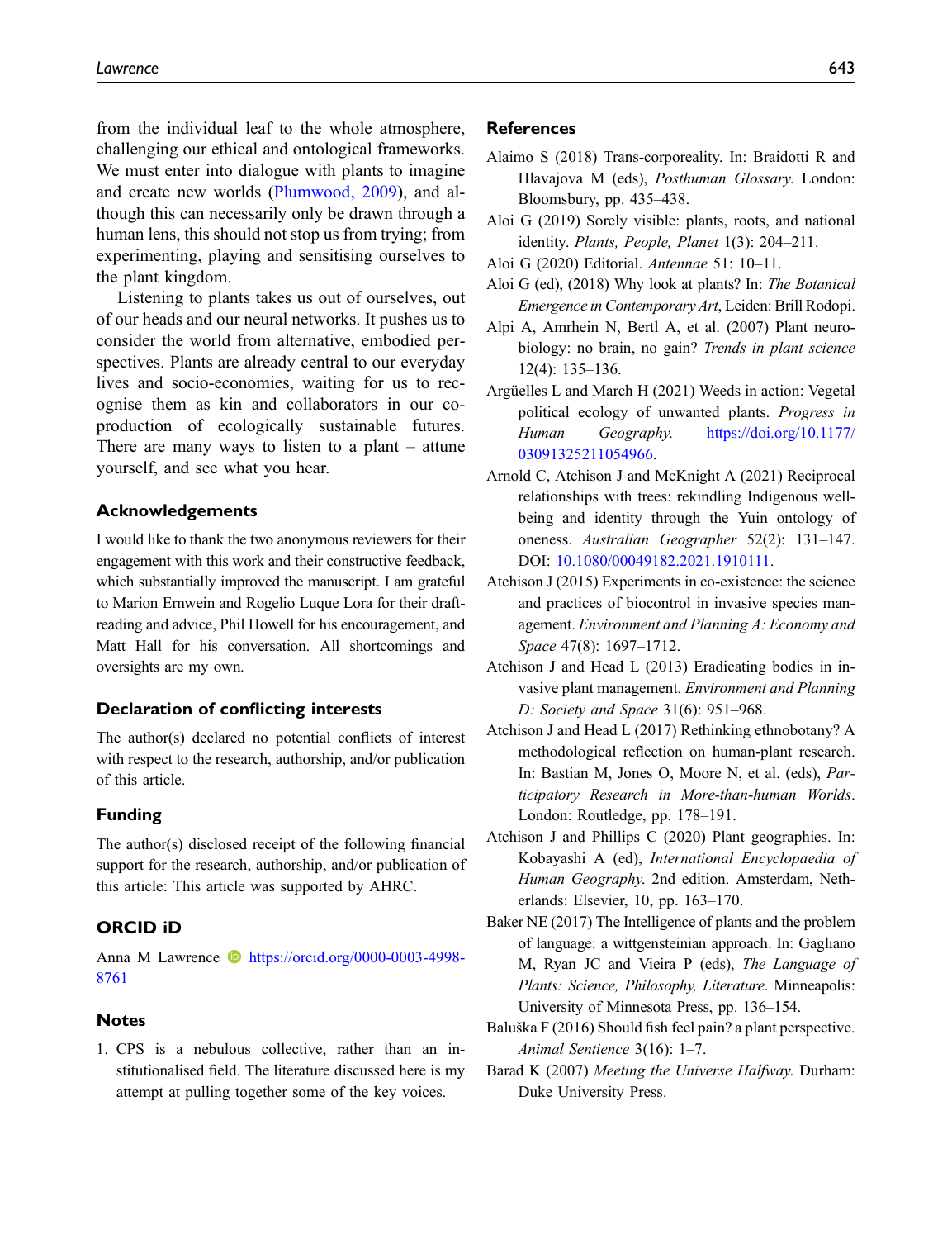from the individual leaf to the whole atmosphere, challenging our ethical and ontological frameworks. We must enter into dialogue with plants to imagine and create new worlds [\(Plumwood, 2009\)](#page-20-17), and although this can necessarily only be drawn through a human lens, this should not stop us from trying; from experimenting, playing and sensitising ourselves to the plant kingdom.

Listening to plants takes us out of ourselves, out of our heads and our neural networks. It pushes us to consider the world from alternative, embodied perspectives. Plants are already central to our everyday lives and socio-economies, waiting for us to recognise them as kin and collaborators in our coproduction of ecologically sustainable futures. There are many ways to listen to a plant – attune yourself, and see what you hear.

#### Acknowledgements

I would like to thank the two anonymous reviewers for their engagement with this work and their constructive feedback, which substantially improved the manuscript. I am grateful to Marion Ernwein and Rogelio Luque Lora for their draftreading and advice, Phil Howell for his encouragement, and Matt Hall for his conversation. All shortcomings and oversights are my own.

#### Declaration of conflicting interests

The author(s) declared no potential conflicts of interest with respect to the research, authorship, and/or publication of this article.

#### Funding

The author(s) disclosed receipt of the following financial support for the research, authorship, and/or publication of this article: This article was supported by AHRC.

#### ORCID iD

Anna M Lawrence **b** [https://orcid.org/0000-0003-4998-](https://orcid.org/0000-0003-4998-8761) [8761](https://orcid.org/0000-0003-4998-8761)

#### Notes

<span id="page-14-5"></span>1. CPS is a nebulous collective, rather than an institutionalised field. The literature discussed here is my attempt at pulling together some of the key voices.

#### References

- <span id="page-14-12"></span>Alaimo S (2018) Trans-corporeality. In: Braidotti R and Hlavajova M (eds), Posthuman Glossary. London: Bloomsbury, pp. 435–438.
- <span id="page-14-11"></span>Aloi G (2019) Sorely visible: plants, roots, and national identity. Plants, People, Planet 1(3): 204–211.
- <span id="page-14-10"></span><span id="page-14-6"></span>Aloi G (2020) Editorial. Antennae 51: 10–11.
- Aloi G (ed), (2018) Why look at plants? In: The Botanical Emergence in Contemporary Art, Leiden: Brill Rodopi.
- <span id="page-14-7"></span>Alpi A, Amrhein N, Bertl A, et al. (2007) Plant neurobiology: no brain, no gain? Trends in plant science 12(4): 135–136.
- <span id="page-14-2"></span>Argüelles L and March H (2021) Weeds in action: Vegetal political ecology of unwanted plants. Progress in Human Geography. [https://doi.org/10.1177/](https://doi.org/10.1177/03091325211054966) [03091325211054966.](https://doi.org/10.1177/03091325211054966)
- <span id="page-14-3"></span>Arnold C, Atchison J and McKnight A (2021) Reciprocal relationships with trees: rekindling Indigenous wellbeing and identity through the Yuin ontology of oneness. Australian Geographer 52(2): 131–147. DOI: [10.1080/00049182.2021.1910111.](https://doi.org/10.1080/00049182.2021.1910111)
- <span id="page-14-14"></span>Atchison J (2015) Experiments in co-existence: the science and practices of biocontrol in invasive species management. Environment and Planning A: Economy and Space 47(8): 1697–1712.
- <span id="page-14-1"></span>Atchison J and Head L (2013) Eradicating bodies in invasive plant management. Environment and Planning D: Society and Space 31(6): 951–968.
- <span id="page-14-13"></span>Atchison J and Head L (2017) Rethinking ethnobotany? A methodological reflection on human-plant research. In: Bastian M, Jones O, Moore N, et al. (eds), Participatory Research in More-than-human Worlds. London: Routledge, pp. 178–191.
- <span id="page-14-0"></span>Atchison J and Phillips C (2020) Plant geographies. In: Kobayashi A (ed), International Encyclopaedia of Human Geography. 2nd edition. Amsterdam, Netherlands: Elsevier, 10, pp. 163–170.
- <span id="page-14-8"></span>Baker NE (2017) The Intelligence of plants and the problem of language: a wittgensteinian approach. In: Gagliano M, Ryan JC and Vieira P (eds), The Language of Plants: Science, Philosophy, Literature. Minneapolis: University of Minnesota Press, pp. 136–154.
- <span id="page-14-9"></span>Baluška F (2016) Should fish feel pain? a plant perspective. Animal Sentience 3(16): 1–7.
- <span id="page-14-4"></span>Barad K (2007) Meeting the Universe Halfway. Durham: Duke University Press.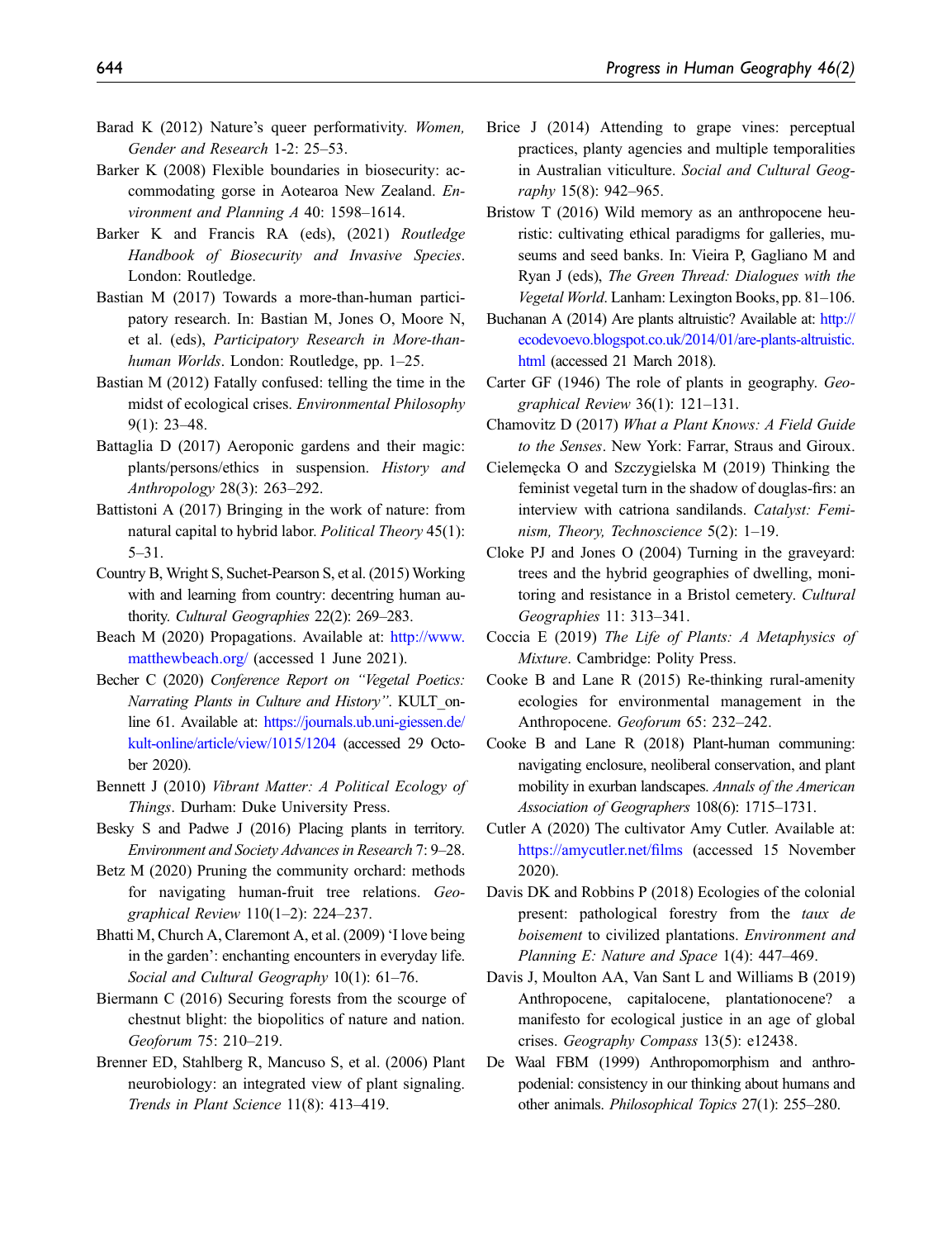- <span id="page-15-18"></span>Barad K (2012) Nature's queer performativity. Women, Gender and Research 1-2: 25–53.
- <span id="page-15-9"></span>Barker K (2008) Flexible boundaries in biosecurity: accommodating gorse in Aotearoa New Zealand. Environment and Planning A 40: 1598–1614.
- <span id="page-15-10"></span>Barker K and Francis RA (eds), (2021) Routledge Handbook of Biosecurity and Invasive Species. London: Routledge.
- <span id="page-15-29"></span>Bastian M (2017) Towards a more-than-human participatory research. In: Bastian M, Jones O, Moore N, et al. (eds), Participatory Research in More-thanhuman Worlds. London: Routledge, pp. 1–25.
- <span id="page-15-3"></span>Bastian M (2012) Fatally confused: telling the time in the midst of ecological crises. Environmental Philosophy 9(1): 23–48.
- <span id="page-15-15"></span>Battaglia D (2017) Aeroponic gardens and their magic: plants/persons/ethics in suspension. History and Anthropology 28(3): 263–292.
- <span id="page-15-22"></span>Battistoni A (2017) Bringing in the work of nature: from natural capital to hybrid labor. Political Theory 45(1): 5–31.
- <span id="page-15-20"></span>Country B, Wright S, Suchet-Pearson S, et al. (2015) Working with and learning from country: decentring human authority. Cultural Geographies 22(2): 269–283.
- <span id="page-15-25"></span>Beach M (2020) Propagations. Available at: [http://www.](http://www.matthewbeach.org/) [matthewbeach.org/](http://www.matthewbeach.org/) (accessed 1 June 2021).
- <span id="page-15-28"></span>Becher C (2020) Conference Report on "Vegetal Poetics: Narrating Plants in Culture and History". KULT\_online 61. Available at: [https://journals.ub.uni-giessen.de/](https://journals.ub.uni-giessen.de/kult-online/article/view/1015/1204) [kult-online/article/view/1015/1204](https://journals.ub.uni-giessen.de/kult-online/article/view/1015/1204) (accessed 29 October 2020).
- <span id="page-15-0"></span>Bennett J (2010) Vibrant Matter: A Political Ecology of Things. Durham: Duke University Press.
- <span id="page-15-6"></span>Besky S and Padwe J (2016) Placing plants in territory. Environment and Society Advances in Research 7: 9–28.
- <span id="page-15-23"></span>Betz M (2020) Pruning the community orchard: methods for navigating human-fruit tree relations. Geographical Review 110(1–2): 224–237.
- <span id="page-15-7"></span>Bhatti M, Church A, Claremont A, et al. (2009) 'I love being in the garden': enchanting encounters in everyday life. Social and Cultural Geography 10(1): 61-76.
- <span id="page-15-21"></span>Biermann C (2016) Securing forests from the scourge of chestnut blight: the biopolitics of nature and nation. Geoforum 75: 210–219.
- <span id="page-15-11"></span>Brenner ED, Stahlberg R, Mancuso S, et al. (2006) Plant neurobiology: an integrated view of plant signaling. Trends in Plant Science 11(8): 413–419.
- <span id="page-15-4"></span>Brice J (2014) Attending to grape vines: perceptual practices, planty agencies and multiple temporalities in Australian viticulture. Social and Cultural Geography 15(8): 942–965.
- <span id="page-15-17"></span>Bristow T (2016) Wild memory as an anthropocene heuristic: cultivating ethical paradigms for galleries, museums and seed banks. In: Vieira P, Gagliano M and Ryan J (eds), The Green Thread: Dialogues with the Vegetal World. Lanham: Lexington Books, pp. 81–106.
- <span id="page-15-16"></span>Buchanan A (2014) Are plants altruistic? Available at: [http://](http://ecodevoevo.blogspot.co.uk/2014/01/are-plants-altruistic.html) [ecodevoevo.blogspot.co.uk/2014/01/are-plants-altruistic.](http://ecodevoevo.blogspot.co.uk/2014/01/are-plants-altruistic.html) [html](http://ecodevoevo.blogspot.co.uk/2014/01/are-plants-altruistic.html) (accessed 21 March 2018).
- <span id="page-15-1"></span>Carter GF (1946) The role of plants in geography. Geographical Review 36(1): 121–131.
- <span id="page-15-12"></span>Chamovitz D (2017) What a Plant Knows: A Field Guide to the Senses. New York: Farrar, Straus and Giroux.
- <span id="page-15-14"></span>Cieleme˛cka O and Szczygielska M (2019) Thinking the feminist vegetal turn in the shadow of douglas-firs: an interview with catriona sandilands. Catalyst: Feminism, Theory, Technoscience 5(2): 1–19.
- <span id="page-15-27"></span>Cloke PJ and Jones O (2004) Turning in the graveyard: trees and the hybrid geographies of dwelling, monitoring and resistance in a Bristol cemetery. Cultural Geographies 11: 313–341.
- <span id="page-15-13"></span>Coccia E (2019) The Life of Plants: A Metaphysics of Mixture. Cambridge: Polity Press.
- <span id="page-15-2"></span>Cooke B and Lane R (2015) Re-thinking rural-amenity ecologies for environmental management in the Anthropocene. Geoforum 65: 232–242.
- <span id="page-15-5"></span>Cooke B and Lane R (2018) Plant-human communing: navigating enclosure, neoliberal conservation, and plant mobility in exurban landscapes. Annals of the American Association of Geographers 108(6): 1715–1731.
- <span id="page-15-24"></span>Cutler A (2020) The cultivator Amy Cutler. Available at: [https://amycutler.net/](https://amycutler.net/films)films (accessed 15 November 2020).
- <span id="page-15-26"></span>Davis DK and Robbins P (2018) Ecologies of the colonial present: pathological forestry from the taux de boisement to civilized plantations. Environment and Planning E: Nature and Space 1(4): 447-469.
- <span id="page-15-8"></span>Davis J, Moulton AA, Van Sant L and Williams B (2019) Anthropocene, capitalocene, plantationocene? a manifesto for ecological justice in an age of global crises. Geography Compass 13(5): e12438.
- <span id="page-15-19"></span>De Waal FBM (1999) Anthropomorphism and anthropodenial: consistency in our thinking about humans and other animals. Philosophical Topics 27(1): 255–280.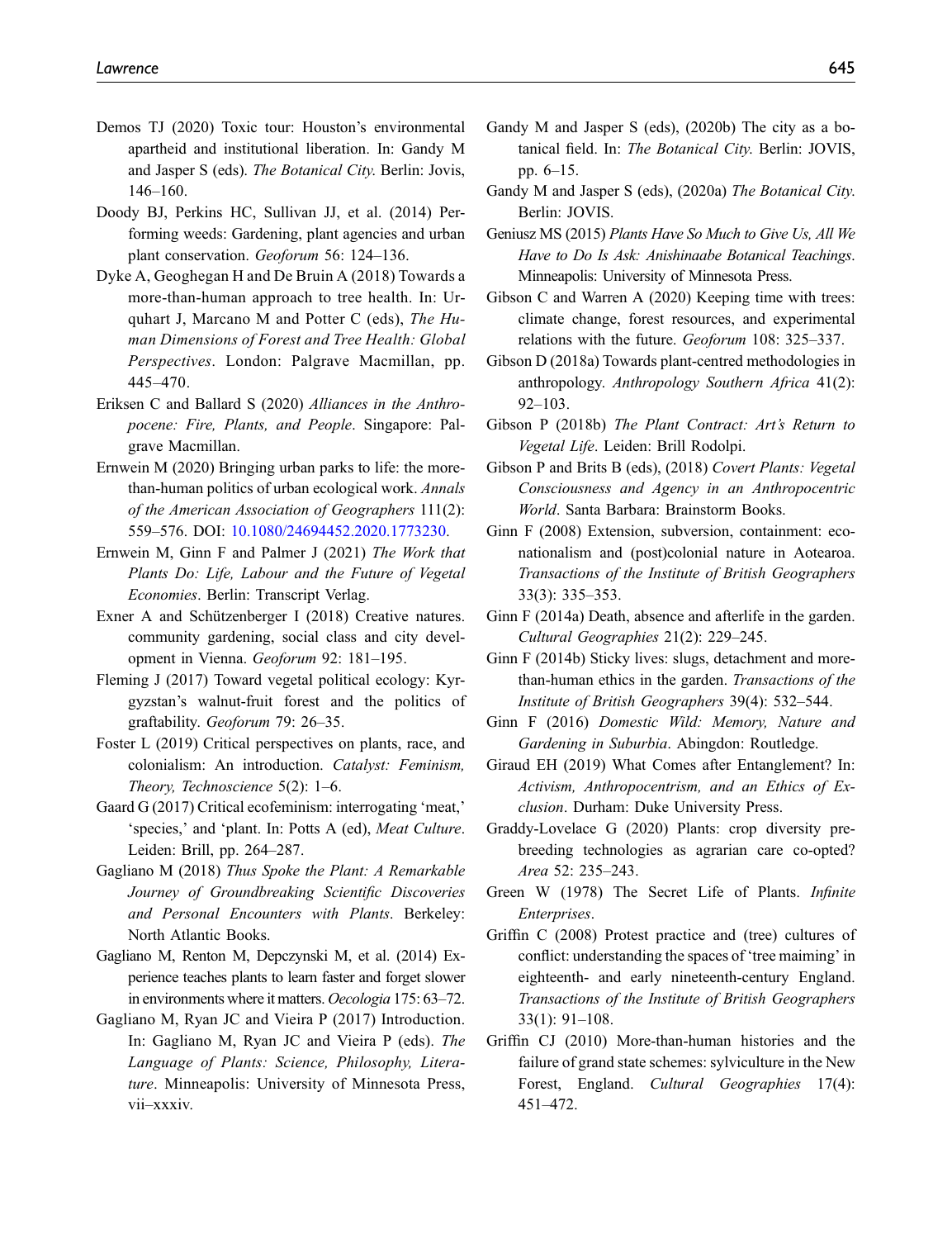- <span id="page-16-20"></span>Demos TJ (2020) Toxic tour: Houston's environmental apartheid and institutional liberation. In: Gandy M and Jasper S (eds). The Botanical City. Berlin: Jovis, 146–160.
- <span id="page-16-5"></span>Doody BJ, Perkins HC, Sullivan JJ, et al. (2014) Performing weeds: Gardening, plant agencies and urban plant conservation. Geoforum 56: 124–136.
- <span id="page-16-28"></span>Dyke A, Geoghegan H and De Bruin A (2018) Towards a more-than-human approach to tree health. In: Urquhart J, Marcano M and Potter C (eds), The Human Dimensions of Forest and Tree Health: Global Perspectives. London: Palgrave Macmillan, pp. 445–470.
- <span id="page-16-19"></span>Eriksen C and Ballard S (2020) Alliances in the Anthropocene: Fire, Plants, and People. Singapore: Palgrave Macmillan.
- <span id="page-16-4"></span>Ernwein M (2020) Bringing urban parks to life: the morethan-human politics of urban ecological work. Annals of the American Association of Geographers 111(2): 559–576. DOI: [10.1080/24694452.2020.1773230](https://doi.org/10.1080/24694452.2020.1773230).
- <span id="page-16-18"></span>Ernwein M, Ginn F and Palmer J (2021) The Work that Plants Do: Life, Labour and the Future of Vegetal Economies. Berlin: Transcript Verlag.
- <span id="page-16-2"></span>Exner A and Schützenberger I (2018) Creative natures. community gardening, social class and city development in Vienna. Geoforum 92: 181–195.
- <span id="page-16-10"></span>Fleming J (2017) Toward vegetal political ecology: Kyrgyzstan's walnut-fruit forest and the politics of graftability. Geoforum 79: 26–35.
- <span id="page-16-14"></span>Foster L (2019) Critical perspectives on plants, race, and colonialism: An introduction. Catalyst: Feminism, Theory, Technoscience 5(2): 1–6.
- <span id="page-16-17"></span>Gaard G (2017) Critical ecofeminism: interrogating 'meat,' 'species,' and 'plant. In: Potts A (ed), Meat Culture. Leiden: Brill, pp. 264–287.
- <span id="page-16-12"></span>Gagliano M (2018) Thus Spoke the Plant: A Remarkable Journey of Groundbreaking Scientific Discoveries and Personal Encounters with Plants. Berkeley: North Atlantic Books.
- <span id="page-16-16"></span>Gagliano M, Renton M, Depczynski M, et al. (2014) Experience teaches plants to learn faster and forget slower in environments where it matters. Oecologia 175: 63–72.
- <span id="page-16-0"></span>Gagliano M, Ryan JC and Vieira P (2017) Introduction. In: Gagliano M, Ryan JC and Vieira P (eds). The Language of Plants: Science, Philosophy, Literature. Minneapolis: University of Minnesota Press, vii–xxxiv.
- <span id="page-16-23"></span>Gandy M and Jasper S (eds), (2020b) The city as a botanical field. In: The Botanical City. Berlin: JOVIS, pp. 6–15.
- <span id="page-16-9"></span>Gandy M and Jasper S (eds), (2020a) The Botanical City. Berlin: JOVIS.
- <span id="page-16-13"></span>Geniusz MS (2015) Plants Have So Much to Give Us, All We Have to Do Is Ask: Anishinaabe Botanical Teachings. Minneapolis: University of Minnesota Press.
- <span id="page-16-3"></span>Gibson C and Warren A (2020) Keeping time with trees: climate change, forest resources, and experimental relations with the future. Geoforum 108: 325–337.
- <span id="page-16-21"></span>Gibson D (2018a) Towards plant-centred methodologies in anthropology. Anthropology Southern Africa 41(2): 92–103.
- <span id="page-16-24"></span>Gibson P (2018b) The Plant Contract: Art's Return to Vegetal Life. Leiden: Brill Rodolpi.
- <span id="page-16-15"></span>Gibson P and Brits B (eds), (2018) Covert Plants: Vegetal Consciousness and Agency in an Anthropocentric World. Santa Barbara: Brainstorm Books.
- <span id="page-16-27"></span>Ginn F (2008) Extension, subversion, containment: econationalism and (post)colonial nature in Aotearoa. Transactions of the Institute of British Geographers 33(3): 335–353.
- <span id="page-16-8"></span>Ginn F (2014a) Death, absence and afterlife in the garden. Cultural Geographies 21(2): 229–245.
- <span id="page-16-7"></span>Ginn F (2014b) Sticky lives: slugs, detachment and morethan-human ethics in the garden. Transactions of the Institute of British Geographers 39(4): 532–544.
- <span id="page-16-1"></span>Ginn F (2016) Domestic Wild: Memory, Nature and Gardening in Suburbia. Abingdon: Routledge.
- <span id="page-16-11"></span>Giraud EH (2019) What Comes after Entanglement? In: Activism, Anthropocentrism, and an Ethics of Exclusion. Durham: Duke University Press.
- <span id="page-16-6"></span>Graddy-Lovelace G (2020) Plants: crop diversity prebreeding technologies as agrarian care co-opted? Area 52: 235–243.
- <span id="page-16-22"></span>Green W (1978) The Secret Life of Plants. Infinite Enterprises.
- <span id="page-16-26"></span>Griffin C (2008) Protest practice and (tree) cultures of conflict: understanding the spaces of 'tree maiming' in eighteenth- and early nineteenth-century England. Transactions of the Institute of British Geographers 33(1): 91–108.
- <span id="page-16-25"></span>Griffin CJ (2010) More-than-human histories and the failure of grand state schemes: sylviculture in the New Forest, England. Cultural Geographies 17(4): 451–472.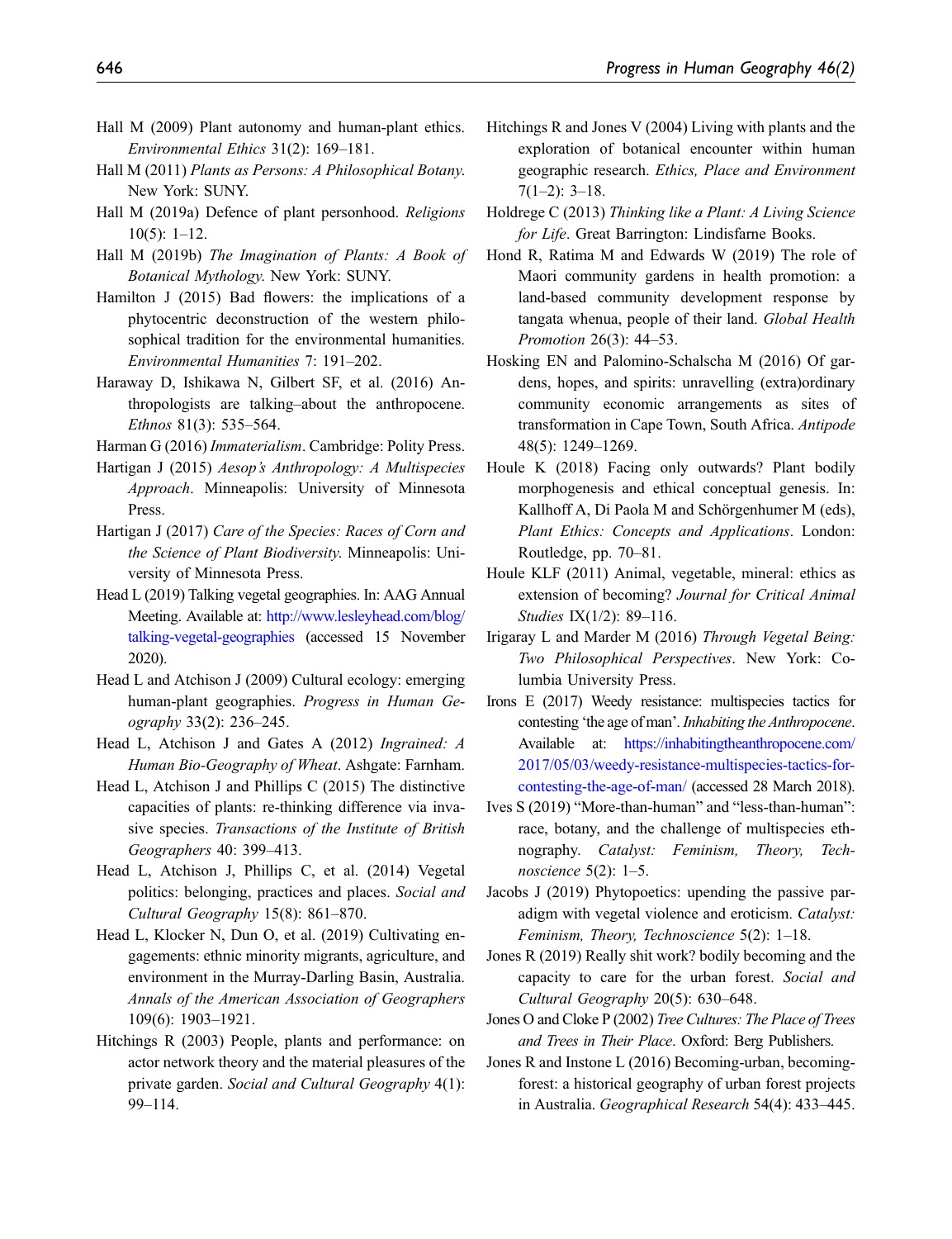- <span id="page-17-12"></span>Hall M (2009) Plant autonomy and human-plant ethics. Environmental Ethics 31(2): 169–181.
- <span id="page-17-3"></span>Hall M (2011) Plants as Persons: A Philosophical Botany. New York: SUNY.
- <span id="page-17-19"></span>Hall M (2019a) Defence of plant personhood. Religions 10(5): 1–12.
- <span id="page-17-14"></span>Hall M (2019b) The Imagination of Plants: A Book of Botanical Mythology. New York: SUNY.
- <span id="page-17-26"></span>Hamilton J (2015) Bad flowers: the implications of a phytocentric deconstruction of the western philosophical tradition for the environmental humanities. Environmental Humanities 7: 191–202.
- <span id="page-17-22"></span>Haraway D, Ishikawa N, Gilbert SF, et al. (2016) Anthropologists are talking–about the anthropocene. Ethnos 81(3): 535–564.
- <span id="page-17-2"></span>Harman G (2016) Immaterialism. Cambridge: Polity Press.
- <span id="page-17-20"></span>Hartigan J (2015) Aesop's Anthropology: A Multispecies Approach. Minneapolis: University of Minnesota Press.
- <span id="page-17-21"></span>Hartigan J (2017) Care of the Species: Races of Corn and the Science of Plant Biodiversity. Minneapolis: University of Minnesota Press.
- <span id="page-17-11"></span>Head L (2019) Talking vegetal geographies. In: AAG Annual Meeting. Available at: [http://www.lesleyhead.com/blog/](http://www.lesleyhead.com/blog/talking-vegetal-geographies) [talking-vegetal-geographies](http://www.lesleyhead.com/blog/talking-vegetal-geographies) (accessed 15 November 2020).
- <span id="page-17-0"></span>Head L and Atchison J (2009) Cultural ecology: emerging human-plant geographies. Progress in Human Geography 33(2): 236–245.
- <span id="page-17-6"></span>Head L, Atchison J and Gates A (2012) Ingrained: A Human Bio-Geography of Wheat. Ashgate: Farnham.
- <span id="page-17-5"></span>Head L, Atchison J and Phillips C (2015) The distinctive capacities of plants: re-thinking difference via invasive species. Transactions of the Institute of British Geographers 40: 399–413.
- <span id="page-17-4"></span>Head L, Atchison J, Phillips C, et al. (2014) Vegetal politics: belonging, practices and places. Social and Cultural Geography 15(8): 861–870.
- <span id="page-17-7"></span>Head L, Klocker N, Dun O, et al. (2019) Cultivating engagements: ethnic minority migrants, agriculture, and environment in the Murray-Darling Basin, Australia. Annals of the American Association of Geographers 109(6): 1903–1921.
- <span id="page-17-24"></span>Hitchings R (2003) People, plants and performance: on actor network theory and the material pleasures of the private garden. Social and Cultural Geography 4(1): 99–114.
- <span id="page-17-25"></span>Hitchings R and Jones V (2004) Living with plants and the exploration of botanical encounter within human geographic research. Ethics, Place and Environment  $7(1-2)$ : 3-18.
- <span id="page-17-18"></span>Holdrege C (2013) Thinking like a Plant: A Living Science for Life. Great Barrington: Lindisfarne Books.
- <span id="page-17-15"></span>Hond R, Ratima M and Edwards W (2019) The role of Maori community gardens in health promotion: a land-based community development response by tangata whenua, people of their land. Global Health Promotion 26(3): 44–53.
- <span id="page-17-9"></span>Hosking EN and Palomino-Schalscha M (2016) Of gardens, hopes, and spirits: unravelling (extra)ordinary community economic arrangements as sites of transformation in Cape Town, South Africa. Antipode 48(5): 1249–1269.
- <span id="page-17-17"></span>Houle K (2018) Facing only outwards? Plant bodily morphogenesis and ethical conceptual genesis. In: Kallhoff A, Di Paola M and Schörgenhumer M (eds), Plant Ethics: Concepts and Applications. London: Routledge, pp. 70–81.
- <span id="page-17-13"></span>Houle KLF (2011) Animal, vegetable, mineral: ethics as extension of becoming? Journal for Critical Animal Studies IX(1/2): 89–116.
- <span id="page-17-23"></span>Irigaray L and Marder M (2016) Through Vegetal Being: Two Philosophical Perspectives. New York: Columbia University Press.
- <span id="page-17-27"></span>Irons E (2017) Weedy resistance: multispecies tactics for contesting 'the age of man'.Inhabiting the Anthropocene. Available at: [https://inhabitingtheanthropocene.com/](https://inhabitingtheanthropocene.com/2017/05/03/weedy-resistance-multispecies-tactics-for-contesting-the-age-of-man/) [2017/05/03/weedy-resistance-multispecies-tactics-for](https://inhabitingtheanthropocene.com/2017/05/03/weedy-resistance-multispecies-tactics-for-contesting-the-age-of-man/)[contesting-the-age-of-man/](https://inhabitingtheanthropocene.com/2017/05/03/weedy-resistance-multispecies-tactics-for-contesting-the-age-of-man/) (accessed 28 March 2018).
- <span id="page-17-16"></span>Ives S (2019) "More-than-human" and "less-than-human": race, botany, and the challenge of multispecies ethnography. Catalyst: Feminism, Theory, Technoscience 5(2): 1–5.
- <span id="page-17-28"></span>Jacobs J (2019) Phytopoetics: upending the passive paradigm with vegetal violence and eroticism. Catalyst: Feminism, Theory, Technoscience 5(2): 1–18.
- <span id="page-17-8"></span>Jones R (2019) Really shit work? bodily becoming and the capacity to care for the urban forest. Social and Cultural Geography 20(5): 630–648.
- <span id="page-17-1"></span>Jones O and Cloke P (2002) Tree Cultures: The Place of Trees and Trees in Their Place. Oxford: Berg Publishers.
- <span id="page-17-10"></span>Jones R and Instone L (2016) Becoming-urban, becomingforest: a historical geography of urban forest projects in Australia. Geographical Research 54(4): 433–445.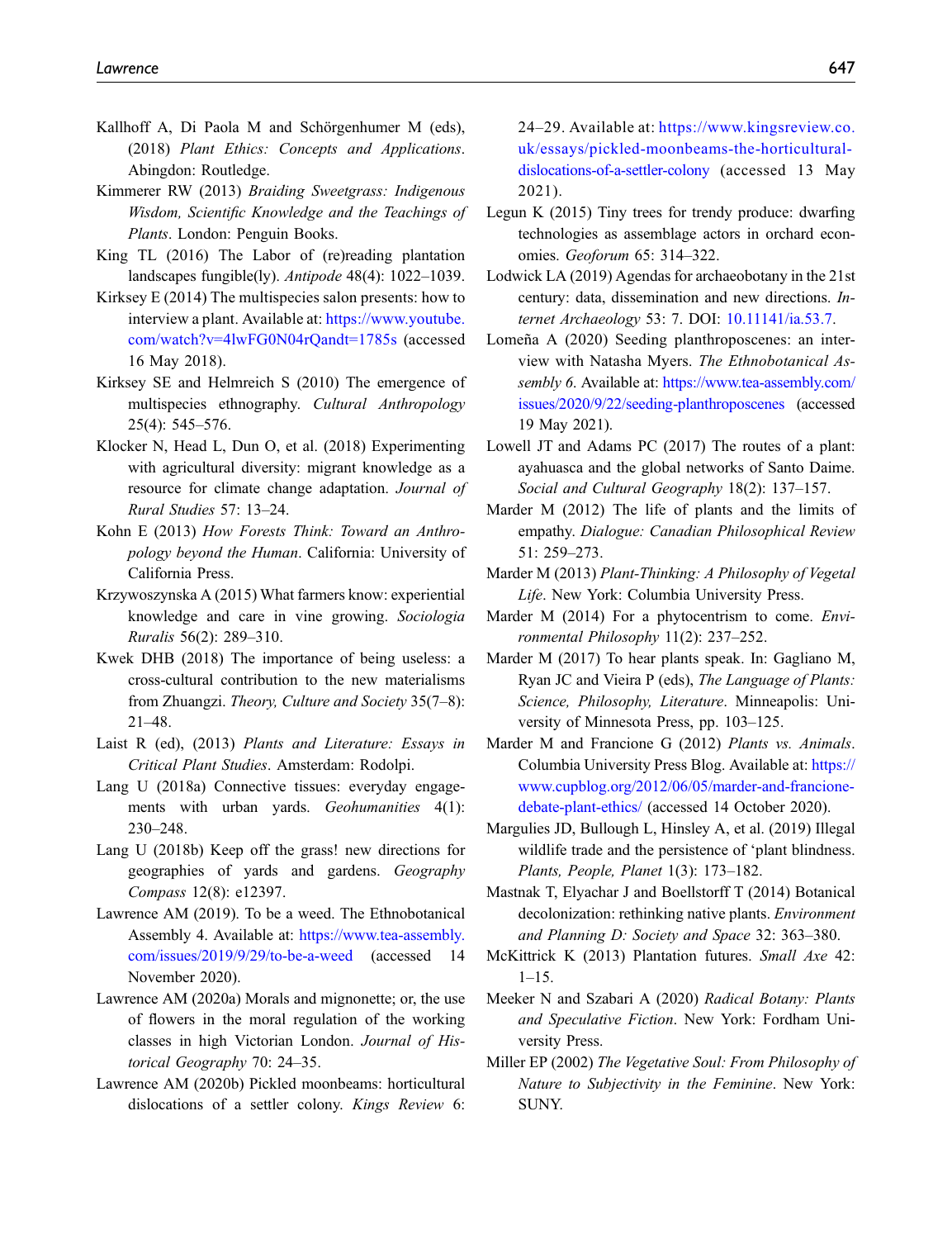- <span id="page-18-16"></span>Kallhoff A, Di Paola M and Schörgenhumer M (eds), (2018) Plant Ethics: Concepts and Applications. Abingdon: Routledge.
- <span id="page-18-0"></span>Kimmerer RW (2013) Braiding Sweetgrass: Indigenous Wisdom, Scientific Knowledge and the Teachings of Plants. London: Penguin Books.
- <span id="page-18-20"></span>King TL (2016) The Labor of (re)reading plantation landscapes fungible(ly). Antipode 48(4): 1022–1039.
- <span id="page-18-22"></span>Kirksey E (2014) The multispecies salon presents: how to interview a plant. Available at: [https://www.youtube.](https://www.youtube.com/watch?v=4lwFG0N04rQandt=1785s) [com/watch?v=4lwFG0N04rQandt=1785s](https://www.youtube.com/watch?v=4lwFG0N04rQandt=1785s) (accessed 16 May 2018).
- <span id="page-18-6"></span>Kirksey SE and Helmreich S (2010) The emergence of multispecies ethnography. Cultural Anthropology 25(4): 545–576.
- <span id="page-18-28"></span>Klocker N, Head L, Dun O, et al. (2018) Experimenting with agricultural diversity: migrant knowledge as a resource for climate change adaptation. Journal of Rural Studies 57: 13–24.
- <span id="page-18-10"></span>Kohn E (2013) How Forests Think: Toward an Anthropology beyond the Human. California: University of California Press.
- <span id="page-18-3"></span>Krzywoszynska A (2015) What farmers know: experiential knowledge and care in vine growing. Sociologia Ruralis 56(2): 289–310.
- <span id="page-18-9"></span>Kwek DHB (2018) The importance of being useless: a cross-cultural contribution to the new materialisms from Zhuangzi. Theory, Culture and Society 35(7–8): 21–48.
- <span id="page-18-26"></span>Laist R (ed), (2013) Plants and Literature: Essays in Critical Plant Studies. Amsterdam: Rodolpi.
- <span id="page-18-4"></span>Lang U (2018a) Connective tissues: everyday engagements with urban yards. Geohumanities 4(1): 230–248.
- <span id="page-18-5"></span>Lang U (2018b) Keep off the grass! new directions for geographies of yards and gardens. Geography Compass 12(8): e12397.
- <span id="page-18-23"></span>Lawrence AM (2019). To be a weed. The Ethnobotanical Assembly 4. Available at: [https://www.tea-assembly.](https://www.tea-assembly.com/issues/2019/9/29/to-be-a-weed) [com/issues/2019/9/29/to-be-a-weed](https://www.tea-assembly.com/issues/2019/9/29/to-be-a-weed) (accessed 14 November 2020).
- <span id="page-18-24"></span>Lawrence AM (2020a) Morals and mignonette; or, the use of flowers in the moral regulation of the working classes in high Victorian London. Journal of Historical Geography 70: 24–35.
- <span id="page-18-25"></span>Lawrence AM (2020b) Pickled moonbeams: horticultural dislocations of a settler colony. Kings Review 6:

24–29. Available at: [https://www.kingsreview.co.](https://www.kingsreview.co.uk/essays/pickled-moonbeams-the-horticultural-dislocations-of-a-settler-colony) [uk/essays/pickled-moonbeams-the-horticultural](https://www.kingsreview.co.uk/essays/pickled-moonbeams-the-horticultural-dislocations-of-a-settler-colony)[dislocations-of-a-settler-colony](https://www.kingsreview.co.uk/essays/pickled-moonbeams-the-horticultural-dislocations-of-a-settler-colony) (accessed 13 May 2021).

- <span id="page-18-1"></span>Legun K (2015) Tiny trees for trendy produce: dwarfing technologies as assemblage actors in orchard economies. Geoforum 65: 314–322.
- <span id="page-18-21"></span>Lodwick LA (2019) Agendas for archaeobotany in the 21st century: data, dissemination and new directions. Internet Archaeology 53: 7. DOI: [10.11141/ia.53.7.](https://doi.org/10.11141/ia.53.7)
- <span id="page-18-27"></span>Lomeña A (2020) Seeding planthroposcenes: an interview with Natasha Myers. The Ethnobotanical Assembly 6. Available at: [https://www.tea-assembly.com/](https://www.tea-assembly.com/issues/2020/9/22/seeding-planthroposcenes) [issues/2020/9/22/seeding-planthroposcenes](https://www.tea-assembly.com/issues/2020/9/22/seeding-planthroposcenes) (accessed 19 May 2021).
- <span id="page-18-2"></span>Lowell JT and Adams PC (2017) The routes of a plant: ayahuasca and the global networks of Santo Daime. Social and Cultural Geography 18(2): 137–157.
- <span id="page-18-13"></span>Marder M (2012) The life of plants and the limits of empathy. Dialogue: Canadian Philosophical Review 51: 259–273.
- <span id="page-18-8"></span>Marder M (2013) Plant-Thinking: A Philosophy of Vegetal Life. New York: Columbia University Press.
- <span id="page-18-15"></span>Marder M (2014) For a phytocentrism to come. *Envi*ronmental Philosophy 11(2): 237–252.
- <span id="page-18-12"></span>Marder M (2017) To hear plants speak. In: Gagliano M, Ryan JC and Vieira P (eds), The Language of Plants: Science, Philosophy, Literature. Minneapolis: University of Minnesota Press, pp. 103–125.
- <span id="page-18-17"></span>Marder M and Francione G (2012) Plants vs. Animals. Columbia University Press Blog. Available at: [https://](https://www.cupblog.org/2012/06/05/marder-and-francione-debate-plant-ethics/) [www.cupblog.org/2012/06/05/marder-and-francione](https://www.cupblog.org/2012/06/05/marder-and-francione-debate-plant-ethics/)[debate-plant-ethics/](https://www.cupblog.org/2012/06/05/marder-and-francione-debate-plant-ethics/) (accessed 14 October 2020).
- <span id="page-18-14"></span>Margulies JD, Bullough L, Hinsley A, et al. (2019) Illegal wildlife trade and the persistence of 'plant blindness. Plants, People, Planet 1(3): 173–182.
- <span id="page-18-18"></span>Mastnak T, Elyachar J and Boellstorff T (2014) Botanical decolonization: rethinking native plants. Environment and Planning D: Society and Space 32: 363–380.
- <span id="page-18-19"></span>McKittrick K (2013) Plantation futures. Small Axe 42:  $1-15$ .
- <span id="page-18-11"></span>Meeker N and Szabari A (2020) Radical Botany: Plants and Speculative Fiction. New York: Fordham University Press.
- <span id="page-18-7"></span>Miller EP (2002) The Vegetative Soul: From Philosophy of Nature to Subjectivity in the Feminine. New York: SUNY.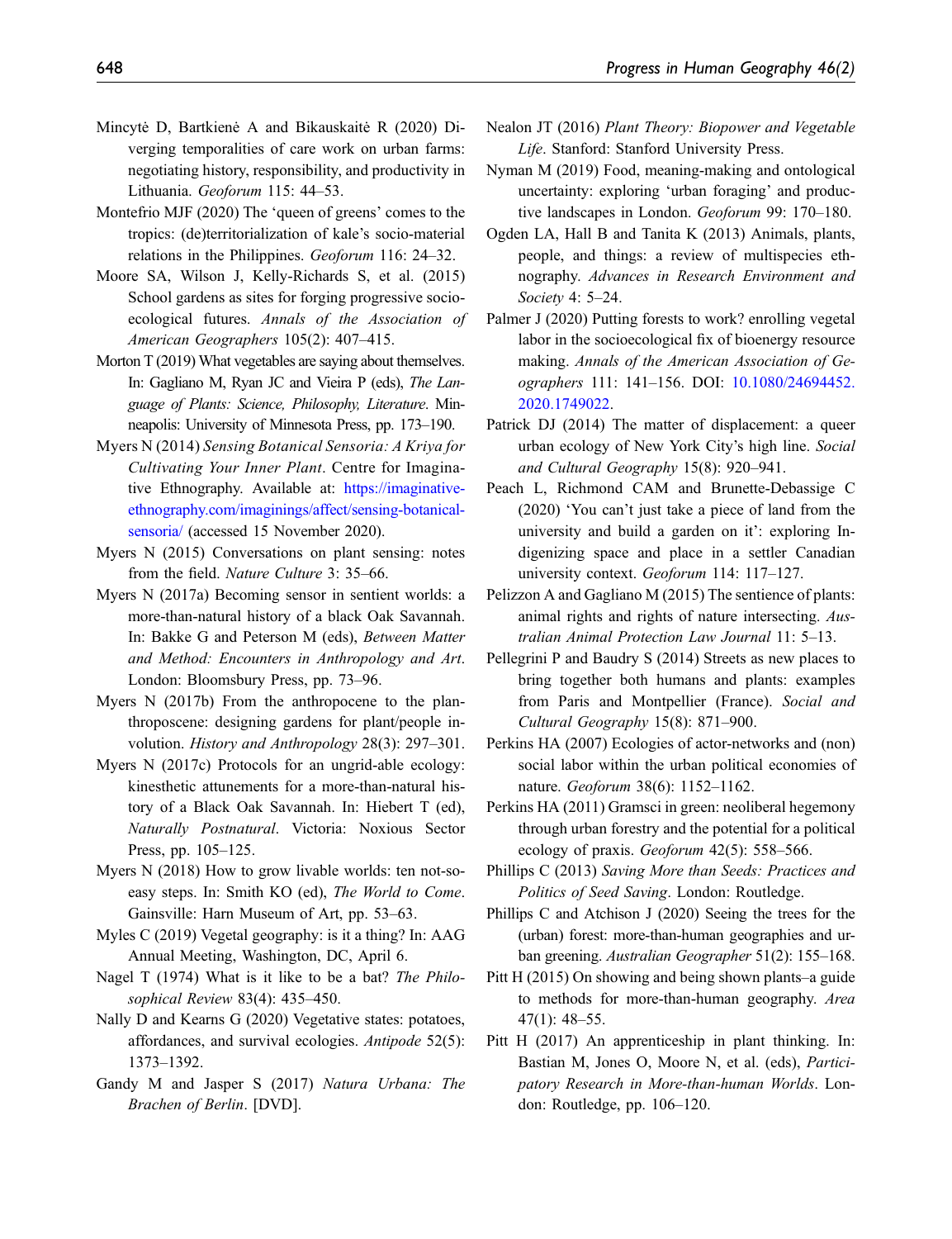- <span id="page-19-7"></span>Mincytė D, Bartkienė A and Bikauskaitė R (2020) Diverging temporalities of care work on urban farms: negotiating history, responsibility, and productivity in Lithuania. Geoforum 115: 44–53.
- <span id="page-19-3"></span>Montefrio MJF (2020) The 'queen of greens' comes to the tropics: (de)territorialization of kale's socio-material relations in the Philippines. Geoforum 116: 24–32.
- <span id="page-19-9"></span>Moore SA, Wilson J, Kelly-Richards S, et al. (2015) School gardens as sites for forging progressive socioecological futures. Annals of the Association of American Geographers 105(2): 407–415.
- <span id="page-19-23"></span>Morton T (2019) What vegetables are saying about themselves. In: Gagliano M, Ryan JC and Vieira P (eds), The Language of Plants: Science, Philosophy, Literature. Minneapolis: University of Minnesota Press, pp. 173–190.
- <span id="page-19-21"></span>Myers N (2014) Sensing Botanical Sensoria: A Kriya for Cultivating Your Inner Plant. Centre for Imaginative Ethnography. Available at: [https://imaginative](https://imaginative-ethnography.com/imaginings/affect/sensing-botanical-sensoria/)[ethnography.com/imaginings/affect/sensing-botanical](https://imaginative-ethnography.com/imaginings/affect/sensing-botanical-sensoria/)[sensoria/](https://imaginative-ethnography.com/imaginings/affect/sensing-botanical-sensoria/) (accessed 15 November 2020).
- <span id="page-19-19"></span>Myers N (2015) Conversations on plant sensing: notes from the field. Nature Culture 3: 35–66.
- <span id="page-19-17"></span>Myers N (2017a) Becoming sensor in sentient worlds: a more-than-natural history of a black Oak Savannah. In: Bakke G and Peterson M (eds), Between Matter and Method: Encounters in Anthropology and Art. London: Bloomsbury Press, pp. 73–96.
- <span id="page-19-18"></span>Myers N (2017b) From the anthropocene to the planthroposcene: designing gardens for plant/people involution. History and Anthropology 28(3): 297–301.
- <span id="page-19-26"></span>Myers N (2017c) Protocols for an ungrid-able ecology: kinesthetic attunements for a more-than-natural history of a Black Oak Savannah. In: Hiebert T (ed), Naturally Postnatural. Victoria: Noxious Sector Press, pp. 105–125.
- <span id="page-19-0"></span>Myers N (2018) How to grow livable worlds: ten not-soeasy steps. In: Smith KO (ed), The World to Come. Gainsville: Harn Museum of Art, pp. 53–63.
- <span id="page-19-14"></span>Myles C (2019) Vegetal geography: is it a thing? In: AAG Annual Meeting, Washington, DC, April 6.
- <span id="page-19-20"></span>Nagel T (1974) What is it like to be a bat? The Philosophical Review 83(4): 435–450.
- <span id="page-19-5"></span>Nally D and Kearns G (2020) Vegetative states: potatoes, affordances, and survival ecologies. Antipode 52(5): 1373–1392.
- <span id="page-19-27"></span>Gandy M and Jasper S (2017) Natura Urbana: The Brachen of Berlin. [DVD].
- <span id="page-19-16"></span>Nealon JT (2016) Plant Theory: Biopower and Vegetable Life. Stanford: Stanford University Press.
- <span id="page-19-4"></span>Nyman M (2019) Food, meaning-making and ontological uncertainty: exploring 'urban foraging' and productive landscapes in London. Geoforum 99: 170–180.
- <span id="page-19-15"></span>Ogden LA, Hall B and Tanita K (2013) Animals, plants, people, and things: a review of multispecies ethnography. Advances in Research Environment and Society 4: 5–24.
- <span id="page-19-12"></span>Palmer J (2020) Putting forests to work? enrolling vegetal labor in the socioecological fix of bioenergy resource making. Annals of the American Association of Geographers 111: 141–156. DOI: [10.1080/24694452.](https://doi.org/10.1080/24694452.2020.1749022) [2020.1749022](https://doi.org/10.1080/24694452.2020.1749022).
- <span id="page-19-6"></span>Patrick DJ (2014) The matter of displacement: a queer urban ecology of New York City's high line. Social and Cultural Geography 15(8): 920–941.
- <span id="page-19-13"></span>Peach L, Richmond CAM and Brunette-Debassige C (2020) 'You can't just take a piece of land from the university and build a garden on it': exploring Indigenizing space and place in a settler Canadian university context. Geoforum 114: 117–127.
- <span id="page-19-22"></span>Pelizzon A and Gagliano M (2015) The sentience of plants: animal rights and rights of nature intersecting. Australian Animal Protection Law Journal 11: 5–13.
- <span id="page-19-2"></span>Pellegrini P and Baudry S (2014) Streets as new places to bring together both humans and plants: examples from Paris and Montpellier (France). Social and Cultural Geography 15(8): 871–900.
- <span id="page-19-24"></span>Perkins HA (2007) Ecologies of actor-networks and (non) social labor within the urban political economies of nature. Geoforum 38(6): 1152–1162.
- <span id="page-19-11"></span>Perkins HA (2011) Gramsci in green: neoliberal hegemony through urban forestry and the potential for a political ecology of praxis. Geoforum 42(5): 558–566.
- <span id="page-19-1"></span>Phillips C (2013) Saving More than Seeds: Practices and Politics of Seed Saving. London: Routledge.
- <span id="page-19-10"></span>Phillips C and Atchison J (2020) Seeing the trees for the (urban) forest: more-than-human geographies and urban greening. Australian Geographer 51(2): 155–168.
- <span id="page-19-25"></span>Pitt H (2015) On showing and being shown plants–a guide to methods for more-than-human geography. Area 47(1): 48–55.
- <span id="page-19-8"></span>Pitt H (2017) An apprenticeship in plant thinking. In: Bastian M, Jones O, Moore N, et al. (eds), Participatory Research in More-than-human Worlds. London: Routledge, pp. 106–120.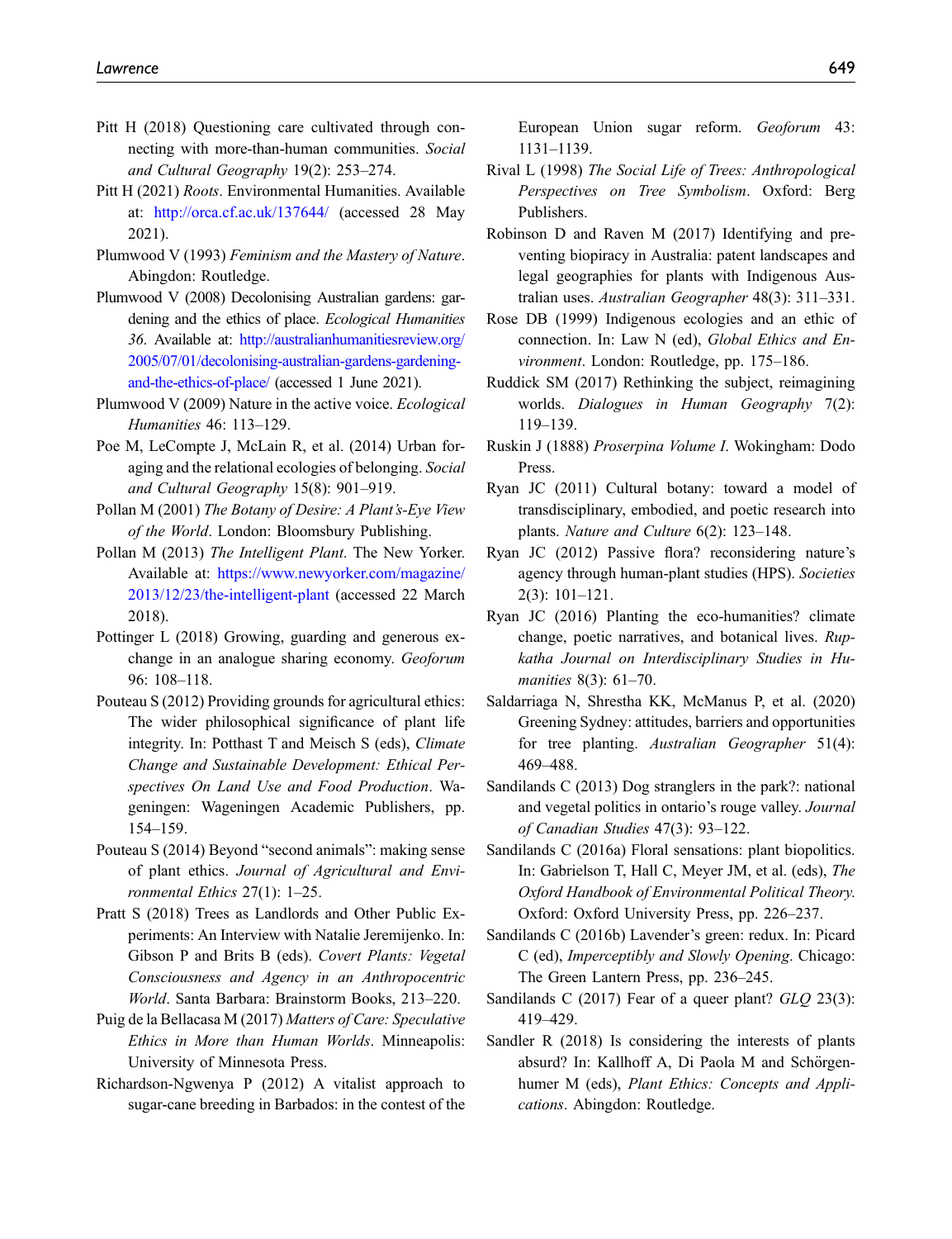- <span id="page-20-0"></span>Pitt H (2018) Questioning care cultivated through connecting with more-than-human communities. Social and Cultural Geography 19(2): 253–274.
- <span id="page-20-25"></span>Pitt H (2021) Roots. Environmental Humanities. Available at: <http://orca.cf.ac.uk/137644/> (accessed 28 May 2021).
- <span id="page-20-11"></span>Plumwood V (1993) Feminism and the Mastery of Nature. Abingdon: Routledge.
- <span id="page-20-12"></span>Plumwood V (2008) Decolonising Australian gardens: gardening and the ethics of place. Ecological Humanities 36. Available at: [http://australianhumanitiesreview.org/](http://australianhumanitiesreview.org/2005/07/01/decolonising-australian-gardens-gardening-and-the-ethics-of-place/) [2005/07/01/decolonising-australian-gardens-gardening](http://australianhumanitiesreview.org/2005/07/01/decolonising-australian-gardens-gardening-and-the-ethics-of-place/)[and-the-ethics-of-place/](http://australianhumanitiesreview.org/2005/07/01/decolonising-australian-gardens-gardening-and-the-ethics-of-place/) (accessed 1 June 2021).
- <span id="page-20-17"></span>Plumwood V (2009) Nature in the active voice. Ecological Humanities 46: 113–129.
- <span id="page-20-3"></span>Poe M, LeCompte J, McLain R, et al. (2014) Urban foraging and the relational ecologies of belonging. Social and Cultural Geography 15(8): 901–919.
- <span id="page-20-7"></span>Pollan M (2001) The Botany of Desire: A Plant's-Eye View of the World. London: Bloomsbury Publishing.
- <span id="page-20-15"></span>Pollan M (2013) The Intelligent Plant. The New Yorker. Available at: [https://www.newyorker.com/magazine/](https://www.newyorker.com/magazine/2013/12/23/the-intelligent-plant) [2013/12/23/the-intelligent-plant](https://www.newyorker.com/magazine/2013/12/23/the-intelligent-plant) (accessed 22 March 2018).
- <span id="page-20-2"></span>Pottinger L (2018) Growing, guarding and generous exchange in an analogue sharing economy. Geoforum 96: 108–118.
- <span id="page-20-13"></span>Pouteau S (2012) Providing grounds for agricultural ethics: The wider philosophical significance of plant life integrity. In: Potthast T and Meisch S (eds), Climate Change and Sustainable Development: Ethical Perspectives On Land Use and Food Production. Wageningen: Wageningen Academic Publishers, pp. 154–159.
- <span id="page-20-14"></span>Pouteau S (2014) Beyond "second animals": making sense of plant ethics. Journal of Agricultural and Environmental Ethics 27(1): 1–25.
- <span id="page-20-21"></span>Pratt S (2018) Trees as Landlords and Other Public Experiments: An Interview with Natalie Jeremijenko. In: Gibson P and Brits B (eds). Covert Plants: Vegetal Consciousness and Agency in an Anthropocentric World. Santa Barbara: Brainstorm Books, 213–220.
- <span id="page-20-5"></span>Puig de la Bellacasa M (2017) Matters of Care: Speculative Ethics in More than Human Worlds. Minneapolis: University of Minnesota Press.
- <span id="page-20-1"></span>Richardson-Ngwenya P (2012) A vitalist approach to sugar-cane breeding in Barbados: in the contest of the

European Union sugar reform. Geoforum 43: 1131–1139.

- <span id="page-20-24"></span>Rival L (1998) The Social Life of Trees: Anthropological Perspectives on Tree Symbolism. Oxford: Berg Publishers.
- <span id="page-20-6"></span>Robinson D and Raven M (2017) Identifying and preventing biopiracy in Australia: patent landscapes and legal geographies for plants with Indigenous Australian uses. Australian Geographer 48(3): 311–331.
- <span id="page-20-18"></span>Rose DB (1999) Indigenous ecologies and an ethic of connection. In: Law N (ed), Global Ethics and Environment. London: Routledge, pp. 175–186.
- <span id="page-20-16"></span>Ruddick SM (2017) Rethinking the subject, reimagining worlds. Dialogues in Human Geography 7(2): 119–139.
- <span id="page-20-23"></span>Ruskin J (1888) Proserpina Volume I. Wokingham: Dodo Press.
- <span id="page-20-8"></span>Ryan JC (2011) Cultural botany: toward a model of transdisciplinary, embodied, and poetic research into plants. Nature and Culture 6(2): 123–148.
- <span id="page-20-9"></span>Ryan JC (2012) Passive flora? reconsidering nature's agency through human-plant studies (HPS). Societies 2(3): 101–121.
- <span id="page-20-26"></span>Ryan JC (2016) Planting the eco-humanities? climate change, poetic narratives, and botanical lives. Rupkatha Journal on Interdisciplinary Studies in Humanities 8(3): 61–70.
- <span id="page-20-27"></span>Saldarriaga N, Shrestha KK, McManus P, et al. (2020) Greening Sydney: attitudes, barriers and opportunities for tree planting. Australian Geographer 51(4): 469–488.
- <span id="page-20-4"></span>Sandilands C (2013) Dog stranglers in the park?: national and vegetal politics in ontario's rouge valley. Journal of Canadian Studies 47(3): 93–122.
- <span id="page-20-19"></span>Sandilands C (2016a) Floral sensations: plant biopolitics. In: Gabrielson T, Hall C, Meyer JM, et al. (eds), The Oxford Handbook of Environmental Political Theory. Oxford: Oxford University Press, pp. 226–237.
- <span id="page-20-20"></span>Sandilands C (2016b) Lavender's green: redux. In: Picard C (ed), Imperceptibly and Slowly Opening. Chicago: The Green Lantern Press, pp. 236–245.
- <span id="page-20-10"></span>Sandilands C (2017) Fear of a queer plant? GLQ 23(3): 419–429.
- <span id="page-20-22"></span>Sandler R (2018) Is considering the interests of plants absurd? In: Kallhoff A, Di Paola M and Schörgenhumer M (eds), Plant Ethics: Concepts and Applications. Abingdon: Routledge.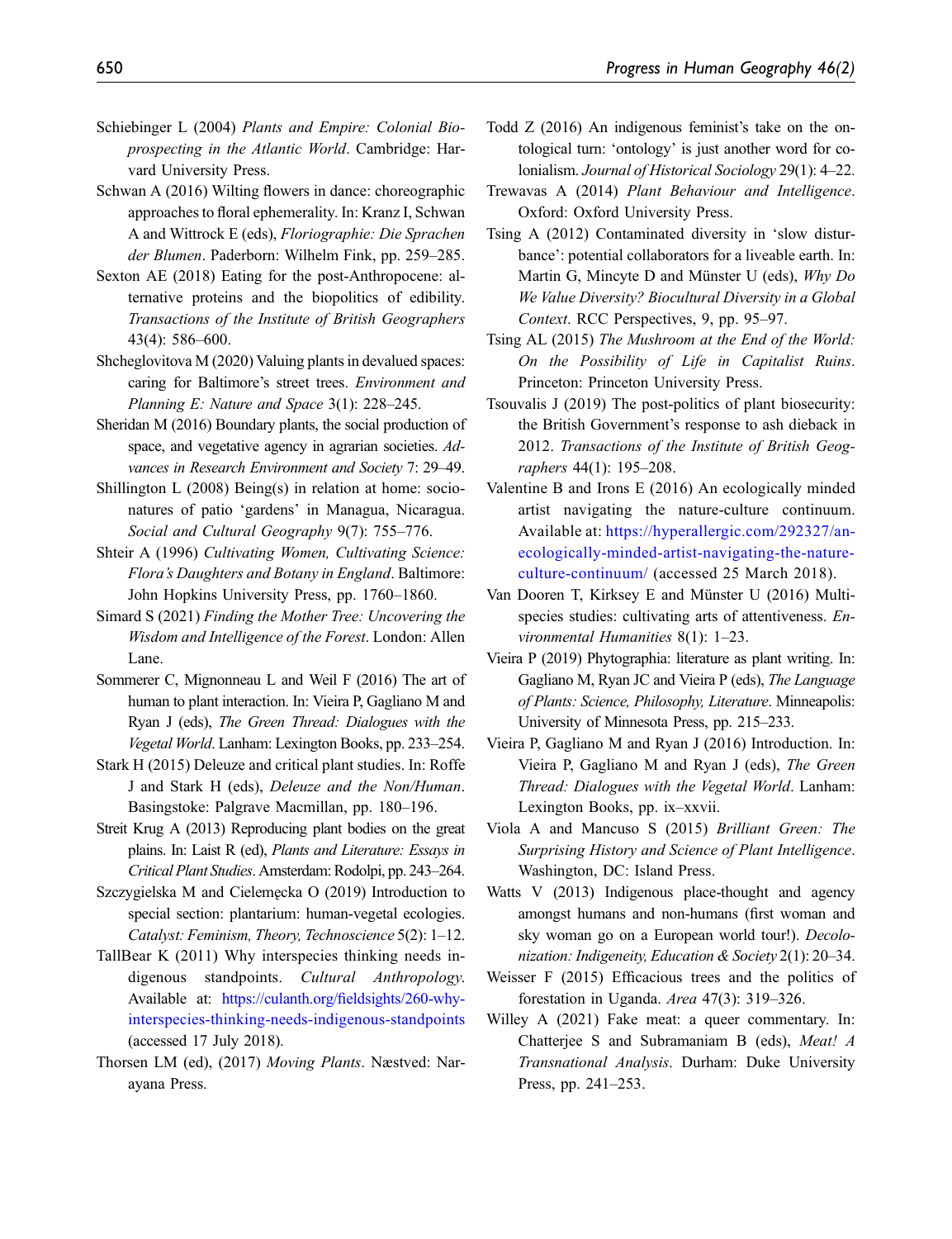- <span id="page-21-14"></span>Schiebinger L (2004) Plants and Empire: Colonial Bioprospecting in the Atlantic World. Cambridge: Harvard University Press.
- <span id="page-21-19"></span>Schwan A (2016) Wilting flowers in dance: choreographic approaches to floral ephemerality. In: Kranz I, Schwan A and Wittrock E (eds), Floriographie: Die Sprachen der Blumen. Paderborn: Wilhelm Fink, pp. 259–285.
- <span id="page-21-16"></span>Sexton AE (2018) Eating for the post-Anthropocene: alternative proteins and the biopolitics of edibility. Transactions of the Institute of British Geographers 43(4): 586–600.
- <span id="page-21-5"></span>Shcheglovitova M (2020) Valuing plants in devalued spaces: caring for Baltimore's street trees. Environment and Planning E: Nature and Space 3(1): 228–245.
- <span id="page-21-3"></span>Sheridan M (2016) Boundary plants, the social production of space, and vegetative agency in agrarian societies. Advances in Research Environment and Society 7: 29–49.
- <span id="page-21-4"></span>Shillington L (2008) Being(s) in relation at home: socionatures of patio 'gardens' in Managua, Nicaragua. Social and Cultural Geography 9(7): 755–776.
- <span id="page-21-13"></span>Shteir A (1996) Cultivating Women, Cultivating Science: Flora's Daughters and Botany in England. Baltimore: John Hopkins University Press, pp. 1760–1860.
- <span id="page-21-7"></span>Simard S (2021) Finding the Mother Tree: Uncovering the Wisdom and Intelligence of the Forest. London: Allen Lane.
- <span id="page-21-18"></span>Sommerer C, Mignonneau L and Weil F (2016) The art of human to plant interaction. In: Vieira P, Gagliano M and Ryan J (eds), The Green Thread: Dialogues with the Vegetal World. Lanham: Lexington Books, pp. 233–254.
- <span id="page-21-10"></span>Stark H (2015) Deleuze and critical plant studies. In: Roffe J and Stark H (eds), Deleuze and the Non/Human. Basingstoke: Palgrave Macmillan, pp. 180–196.
- <span id="page-21-25"></span>Streit Krug A (2013) Reproducing plant bodies on the great plains. In: Laist R (ed), Plants and Literature: Essays in Critical Plant Studies. Amsterdam: Rodolpi, pp. 243–264.
- <span id="page-21-12"></span>Szczygielska M and Cielemecka O (2019) Introduction to special section: plantarium: human-vegetal ecologies. Catalyst: Feminism, Theory, Technoscience 5(2): 1–12.
- <span id="page-21-1"></span>TallBear K (2011) Why interspecies thinking needs indigenous standpoints. Cultural Anthropology. Available at: https://culanth.org/fi[eldsights/260-why](https://culanth.org/fieldsights/260-why-interspecies-thinking-needs-indigenous-standpoints)[interspecies-thinking-needs-indigenous-standpoints](https://culanth.org/fieldsights/260-why-interspecies-thinking-needs-indigenous-standpoints) (accessed 17 July 2018).
- <span id="page-21-23"></span>Thorsen LM (ed), (2017) Moving Plants. Næstved: Narayana Press.
- <span id="page-21-15"></span>Todd Z (2016) An indigenous feminist's take on the ontological turn: 'ontology' is just another word for colonialism. Journal of Historical Sociology 29(1): 4–22.
- <span id="page-21-8"></span>Trewavas A (2014) Plant Behaviour and Intelligence. Oxford: Oxford University Press.
- <span id="page-21-22"></span>Tsing A (2012) Contaminated diversity in 'slow disturbance': potential collaborators for a liveable earth. In: Martin G, Mincyte D and Münster U (eds), Why Do We Value Diversity? Biocultural Diversity in a Global Context. RCC Perspectives, 9, pp. 95–97.
- <span id="page-21-24"></span>Tsing AL (2015) The Mushroom at the End of the World: On the Possibility of Life in Capitalist Ruins. Princeton: Princeton University Press.
- <span id="page-21-6"></span>Tsouvalis J (2019) The post-politics of plant biosecurity: the British Government's response to ash dieback in 2012. Transactions of the Institute of British Geographers 44(1): 195–208.
- <span id="page-21-21"></span>Valentine B and Irons E (2016) An ecologically minded artist navigating the nature-culture continuum. Available at: [https://hyperallergic.com/292327/an](https://hyperallergic.com/292327/an-ecologically-minded-artist-navigating-the-nature-culture-continuum/)[ecologically-minded-artist-navigating-the-nature](https://hyperallergic.com/292327/an-ecologically-minded-artist-navigating-the-nature-culture-continuum/)[culture-continuum/](https://hyperallergic.com/292327/an-ecologically-minded-artist-navigating-the-nature-culture-continuum/) (accessed 25 March 2018).
- <span id="page-21-0"></span>Van Dooren T, Kirksey E and Münster U (2016) Multispecies studies: cultivating arts of attentiveness. Environmental Humanities 8(1): 1–23.
- <span id="page-21-26"></span>Vieira P (2019) Phytographia: literature as plant writing. In: Gagliano M, Ryan JC and Vieira P (eds), The Language of Plants: Science, Philosophy, Literature. Minneapolis: University of Minnesota Press, pp. 215–233.
- <span id="page-21-20"></span>Vieira P, Gagliano M and Ryan J (2016) Introduction. In: Vieira P, Gagliano M and Ryan J (eds), The Green Thread: Dialogues with the Vegetal World. Lanham: Lexington Books, pp. ix–xxvii.
- <span id="page-21-9"></span>Viola A and Mancuso S (2015) Brilliant Green: The Surprising History and Science of Plant Intelligence. Washington, DC: Island Press.
- <span id="page-21-11"></span>Watts V (2013) Indigenous place-thought and agency amongst humans and non-humans (first woman and sky woman go on a European world tour!). Decolonization: Indigeneity, Education & Society 2(1): 20–34.
- <span id="page-21-2"></span>Weisser F (2015) Efficacious trees and the politics of forestation in Uganda. Area 47(3): 319–326.
- <span id="page-21-17"></span>Willey A (2021) Fake meat: a queer commentary. In: Chatterjee S and Subramaniam B (eds), Meat! A Transnational Analysis. Durham: Duke University Press, pp. 241–253.